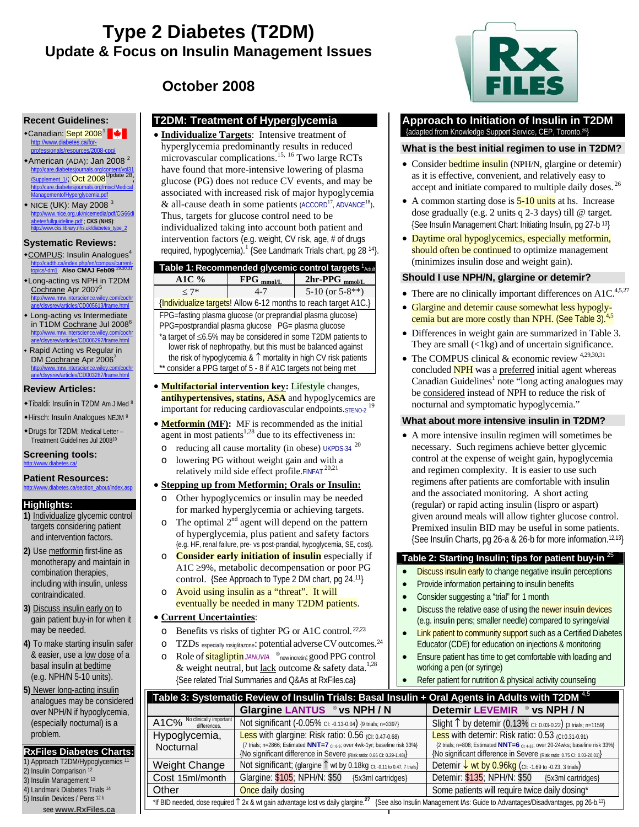# **Type 2 Diabetes (T2DM) Update & Focus on Insulin Management Issues**

**October 2008**

### **Recent Guidelines:**

- ◆Canadian: Sept 2008<sup>1</sup> http://www.diabetes.ca/forsionals/resources/2008-cpg/
- $\bullet$ American (ADA): Jan 2008<sup>2</sup> http://care.diabetesjournals.org/content/vol31 /Supplement\_1/; Oct 2008Update 28; tesiournals.org/r antofHyperg
- NICE (UK): May 2008<sup>3</sup><br>http://www.nice.org.uk/nicemedia/ndf/CG66di http://www.nice.org.uk/nicemedia/pdf/CG66di abetesfullguideline.pdf ; **CKS (NHS)**: http://www.cks.library.nhs.uk/diabetes\_type\_2

### **Systematic Reviews:**

- \*COMPUS: Insulin Analogues<sup>4</sup> http://cadth.ca/index.php/en/compus/current-topics/-dm1 **Also CMAJ Feb09** 29,30,31
- Long-acting vs NPH in T2DM Cochrane Apr 2007<sup>5</sup> http://www.mrw.interscience.wiley.com/cochr ane/clsysrev/articles/CD005613/frame.html
- Long-acting vs Intermediate in T1DM Cochrane Jul 2008<sup>6</sup> http://www.mrw.interscience.wiley.com/cochr ane/clsysrev/articles/CD006297/frame.html
- Rapid Acting vs Regular in DM Cochrane Apr 2006<sup>7</sup> http://www.mrw.interscience.wiley.com/cochr ane/clsysrev/articles/CD003287/frame.html

### **Review Articles:**

- Tibaldi: Insulin in T2DM Am J Med <sup>8</sup>
- Hirsch: Insulin Analogues NEJM <sup>9</sup>
- Drugs for T2DM; Medical Letter Treatment Guidelines Jul 200810

#### **Screening tools:**  http://www.diabetes.ca/

#### **Patient Resources:**  http://www.diabetes.ca/section\_about/index.asp

### **Highlights:**

- **1)** Individualize glycemic control targets considering patient and intervention factors.
- **2)** Use metformin first-line as monotherapy and maintain in combination therapies, including with insulin, unless contraindicated.
- **3)** Discuss insulin early on to gain patient buy-in for when it may be needed.
- **4)** To make starting insulin safer & easier, use a low dose of a basal insulin at bedtime (e.g. NPH/N 5-10 units).
- **5)** Newer long-acting insulin analogues may be considered over NPH/N if hypoglycemia, (especially nocturnal) is a problem.

### **RxFiles Diabetes Charts:**

- 1) Approach T2DM/Hypoglycemics<sup>11</sup> 2) Insulin Comparison 12
- 3) Insulin Management 13
- 4) Landmark Diabetes Trials 14
- 5) Insulin Devices / Pens 12 b

see **www.RxFiles.ca**

# **T2DM: Treatment of Hyperglycemia**

**Individualize Targets:** Intensive treatment of hyperglycemia predominantly results in reduced microvascular complications.<sup>15, 16</sup> Two large RCTs have found that more-intensive lowering of plasma glucose (PG) does not reduce CV events, and may be associated with increased risk of major hypoglycemia & all-cause death in some patients  $(ACCORD<sup>17</sup>, ADVANCE<sup>18</sup>).$ Thus, targets for glucose control need to be individualized taking into account both patient and intervention factors (e.g. weight, CV risk, age, # of drugs required, hypoglycemia).<sup>1</sup> {See Landmark Trials chart, pg 28<sup>14</sup>}.

| Table 1: Recommended glycemic control targets ${}^1\!$ Adult    |              |                             |  |  |  |  |  |
|-----------------------------------------------------------------|--------------|-----------------------------|--|--|--|--|--|
| A1C $\%$                                                        | $FPG$ mmol/L | $2hr-PPG$ <sub>mmol/L</sub> |  |  |  |  |  |
| $< 7*$                                                          | 4-7          | 5-10 (or $5-8**$ )          |  |  |  |  |  |
| {Individualize targets! Allow 6-12 months to reach target A1C.} |              |                             |  |  |  |  |  |

FPG=fasting plasma glucose (or preprandial plasma glucose) PPG=postprandial plasma glucose PG= plasma glucose \*a target of ≤6.5% may be considered in some T2DM patients to lower risk of nephropathy, but this must be balanced against the risk of hypoglycemia & ↑ mortality in high CV risk patients consider a PPG target of 5 - 8 if A1C targets not being met

- **Multifactorial intervention key:** Lifestyle changes, **antihypertensives, statins, ASA** and hypoglycemics are important for reducing cardiovascular endpoints.STENO-2<sup>19</sup>
- **Metformin** (MF): MF is recommended as the initial agent in most patients<sup>1,28</sup> due to its effectiveness in:
	- $\circ$  reducing all cause mortality (in obese) UKPDS-34  $^{20}$
	- o lowering PG without weight gain and with a relatively mild side effect profile.FINFAT<sup>20,21</sup>

### • **Stepping up from Metformin; Orals or Insulin:**

- Other hypoglycemics or insulin may be needed for marked hyperglycemia or achieving targets.
- $\circ$  The optimal  $2^{nd}$  agent will depend on the pattern of hyperglycemia, plus patient and safety factors {e.g. HF, renal failure, pre- vs post-prandial, hypoglycemia, SE, cost}**.**
- **Consider early initiation of insulin** especially if A1C ≥9%, metabolic decompensation or poor PG control. {See Approach to Type 2 DM chart, pg 24.11}
- Avoid using insulin as a "threat". It will eventually be needed in many T2DM patients.

### • **Current Uncertainties**:

- o Benefits vs risks of tighter PG or A1C control. 22,23
- o TZDs especially rosiglitazone: potential adverse CV outcomes.<sup>24</sup>
- o Role of **sitagliptin** *JANUVIA* ⊗<sub>new incretin; good PPG control</sub> & weight neutral, but lack outcome & safety data.<sup>1,28</sup> {See related Trial Summaries and Q&As at RxFiles.ca}

### **Approach to Initiation of Insulin in T2DM**  {adapted from Knowledge Support Service, CEP, Toronto.25}

### **What is the best initial regimen to use in T2DM?**

- Consider **bedtime insulin** (NPH/N, glargine or detemir) as it is effective, convenient, and relatively easy to accept and initiate compared to multiple daily doses. 26
- A common starting dose is  $\frac{5-10}{10}$  units at hs. Increase dose gradually (e.g. 2 units q 2-3 days) till @ target. {See Insulin Management Chart: Initiating Insulin, pg 27-b 13}
- Daytime oral hypoglycemics, especially metformin, should often be continued to optimize management (minimizes insulin dose and weight gain).

### **Should I use NPH/N, glargine or detemir?**

- There are no clinically important differences on A1C.<sup>4,5,27</sup>
- Glargine and detemir cause somewhat less hypoglycemia but are more costly than NPH. (See Table 3).<sup>4,5</sup>
- Differences in weight gain are summarized in Table 3. They are small  $(\langle 1kg \rangle)$  and of uncertain significance.
- The COMPUS clinical  $\&$  economic review  $4,29,30,31$ concluded **NPH** was a preferred initial agent whereas Canadian Guidelines<sup>1</sup> note "long acting analogues may be considered instead of NPH to reduce the risk of nocturnal and symptomatic hypoglycemia."

### **What about more intensive insulin in T2DM?**

• A more intensive insulin regimen will sometimes be necessary. Such regimens achieve better glycemic control at the expense of weight gain, hypoglycemia and regimen complexity. It is easier to use such regimens after patients are comfortable with insulin and the associated monitoring. A short acting (regular) or rapid acting insulin (lispro or aspart)<sup> $\frac{1}{h}$ </sup> given around meals will allow tighter glucose control. Premixed insulin BID may be useful in some patients. {See Insulin Charts, pg 26-a & 26-b for more information.12,13}

### **Table 2: Starting Insulin; tips for patient buy-in** <sup>25</sup>

- **Discuss insulin early to change negative insulin perceptions**
- Provide information pertaining to insulin benefits
- Consider suggesting a "trial" for 1 month
- Discuss the relative ease of using the newer insulin devices (e.g. insulin pens; smaller needle) compared to syringe/vial
- Link patient to community support such as a Certified Diabetes Educator (CDE) for education on injections & monitoring
- Ensure patient has time to get comfortable with loading and working a pen (or syringe)
- Refer patient for nutrition & physical activity counseling

|                                                                                                                                                                                  | Table 3: Systematic Review of Insulin Trials: Basal Insulin + Oral Agents in Adults with T2DM <sup>4.5</sup>                                                                                                  |                                                                                                                                                                                                                |  |  |  |  |  |  |  |  |
|----------------------------------------------------------------------------------------------------------------------------------------------------------------------------------|---------------------------------------------------------------------------------------------------------------------------------------------------------------------------------------------------------------|----------------------------------------------------------------------------------------------------------------------------------------------------------------------------------------------------------------|--|--|--|--|--|--|--|--|
|                                                                                                                                                                                  | Glargine LANTUS . ® vs NPH / N                                                                                                                                                                                | Detemir LEVEMIR . ® vs NPH / N                                                                                                                                                                                 |  |  |  |  |  |  |  |  |
| A1C% No clinically important                                                                                                                                                     | Not significant (-0.05% CI: -0.13-0.04) {9 trials; n=3397}                                                                                                                                                    | Slight $\uparrow$ by detemir (0.13% CI: 0.03-0.22) {3 trials; n=1159}                                                                                                                                          |  |  |  |  |  |  |  |  |
| Hypoglycemia,<br>Nocturnal                                                                                                                                                       | Less with glargine: Risk ratio: 0.56 (CI: 0.47-0.68)<br>{7 trials; n=2866; Estimated NNT=7 ct 6.9; over 4wk-1yr; baseline risk 33%}<br>{No significant difference in Severe (Risk ratio: 0.66 CI: 0.29-1.48)} | Less with detemir: Risk ratio: 0.53 (CI:0.31-0.91)<br>{2 trials; n=808; Estimated NNT=6 ct: 4.33; over 20-24wks; baseline risk 33%}<br>{No significant difference in Severe (Risk ratio: 0.75 CI: 0.03-20.01)} |  |  |  |  |  |  |  |  |
| Weight Change                                                                                                                                                                    | Not significant; (glargine 1 wt by 0.18kg CI: -0.11 to 0.47, 7 trials)                                                                                                                                        | Detemir $\sqrt{\frac{Wt - 0.96kq}{V}}$ (CI: -1.69 to -0.23, 3 trials)                                                                                                                                          |  |  |  |  |  |  |  |  |
| Cost 15ml/month                                                                                                                                                                  | Glargine: \$105; NPH/N: \$50 {5x3ml cartridges}                                                                                                                                                               | Detemir: \$135; NPH/N: \$50 {5x3ml cartridges}                                                                                                                                                                 |  |  |  |  |  |  |  |  |
| Other                                                                                                                                                                            | Once daily dosing                                                                                                                                                                                             | Some patients will require twice daily dosing*                                                                                                                                                                 |  |  |  |  |  |  |  |  |
| *If BID needed, dose required 1 2x & wt gain advantage lost vs daily glargine. <sup>27</sup><br>{See also Insulin Management IAs: Guide to Advantages/Disadvantages, pg 26-b.13} |                                                                                                                                                                                                               |                                                                                                                                                                                                                |  |  |  |  |  |  |  |  |

{Individualize targets! Allow 6-12 months to reach target A1C.}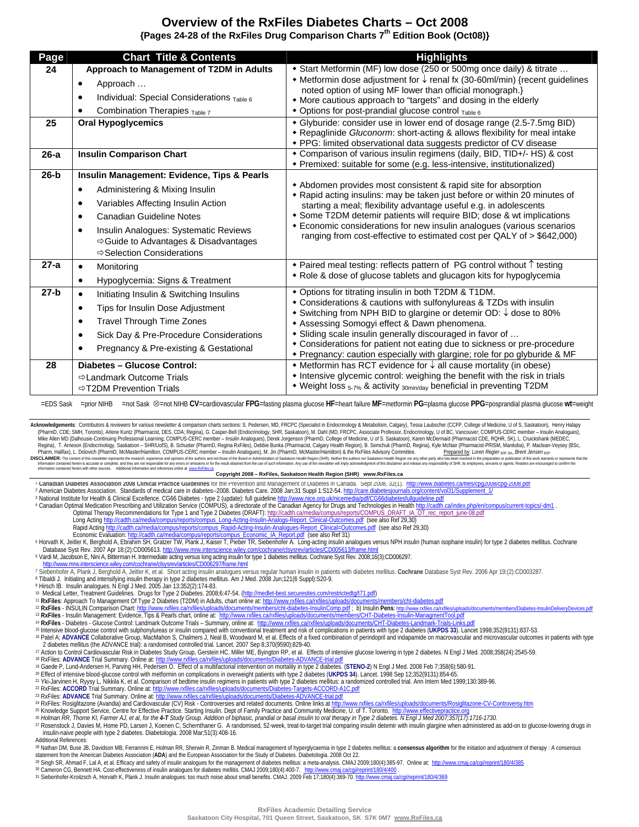# **Overview of the RxFiles Diabetes Charts – Oct 2008 {Pages 24-28 of the RxFiles Drug Comparison Charts 7th Edition Book (Oct08)}**

| Page   | <b>Chart Title &amp; Contents</b>                                                                                                                                                                                                                                                                                                    | <b>Highlights</b>                                                                                                                                                                                                                                                                                                                                                                                                                                                     |
|--------|--------------------------------------------------------------------------------------------------------------------------------------------------------------------------------------------------------------------------------------------------------------------------------------------------------------------------------------|-----------------------------------------------------------------------------------------------------------------------------------------------------------------------------------------------------------------------------------------------------------------------------------------------------------------------------------------------------------------------------------------------------------------------------------------------------------------------|
| 24     | Approach to Management of T2DM in Adults<br>Approach<br>$\bullet$<br>Individual: Special Considerations Table 6<br>Combination Therapies Table 7                                                                                                                                                                                     | + Start Metformin (MF) low dose (250 or 500mg once daily) & titrate<br>• Metformin dose adjustment for $\downarrow$ renal fx (30-60ml/min) {recent guidelines<br>noted option of using MF lower than official monograph.}<br>• More cautious approach to "targets" and dosing in the elderly<br>• Options for post-prandial glucose control Table 6                                                                                                                   |
| 25     | <b>Oral Hypoglycemics</b>                                                                                                                                                                                                                                                                                                            | • Glyburide: consider use in lower end of dosage range (2.5-7.5mg BID)<br>• Repaglinide Gluconorm: short-acting & allows flexibility for meal intake<br>• PPG: limited observational data suggests predictor of CV disease                                                                                                                                                                                                                                            |
| $26-a$ | <b>Insulin Comparison Chart</b>                                                                                                                                                                                                                                                                                                      | * Comparison of various insulin regimens (daily, BID, TID+/- HS) & cost<br>• Premixed: suitable for some (e.g. less-intensive, institutionalized)                                                                                                                                                                                                                                                                                                                     |
| $26-b$ | Insulin Management: Evidence, Tips & Pearls<br>Administering & Mixing Insulin<br>$\bullet$<br>Variables Affecting Insulin Action<br>$\bullet$<br>Canadian Guideline Notes<br>$\bullet$<br>Insulin Analogues: Systematic Reviews<br>$\bullet$<br>$\Rightarrow$ Guide to Advantages & Disadvantages<br><b>Selection Considerations</b> | • Abdomen provides most consistent & rapid site for absorption<br>* Rapid acting insulins: may be taken just before or within 20 minutes of<br>starting a meal; flexibility advantage useful e.g. in adolescents<br>• Some T2DM detemir patients will require BID; dose & wt implications<br><b>Economic considerations for new insulin analogues (various scenarios</b><br>ranging from cost-effective to estimated cost per QALY of > \$642,000)                    |
| $27-a$ | Monitoring<br>Hypoglycemia: Signs & Treatment<br>$\bullet$                                                                                                                                                                                                                                                                           | ◆ Paired meal testing: reflects pattern of PG control without 1 testing<br>• Role & dose of glucose tablets and glucagon kits for hypoglycemia                                                                                                                                                                                                                                                                                                                        |
| $27-b$ | Initiating Insulin & Switching Insulins<br>Tips for Insulin Dose Adjustment<br>٠<br><b>Travel Through Time Zones</b><br>Sick Day & Pre-Procedure Considerations<br>Pregnancy & Pre-existing & Gestational                                                                                                                            | * Options for titrating insulin in both T2DM & T1DM.<br>• Considerations & cautions with sulfonylureas & TZDs with insulin<br>◆ Switching from NPH BID to glargine or detemir OD: ↓ dose to 80%<br>* Assessing Somogyi effect & Dawn phenomena.<br>• Sliding scale insulin generally discouraged in favor of<br>• Considerations for patient not eating due to sickness or pre-procedure<br>• Pregnancy: caution especially with glargine; role for po glyburide & MF |
| 28     | Diabetes - Glucose Control:<br><b>⇒Landmark Outcome Trials</b><br><b>⇒T2DM Prevention Trials</b>                                                                                                                                                                                                                                     | • Metformin has RCT evidence for $\downarrow$ all cause mortality (in obese)<br>• Intensive glycemic control: weighing the benefit with the risk in trials<br>• Weight loss 5-7% & activity 30min/day beneficial in preventing T2DM                                                                                                                                                                                                                                   |

I = EDS Sask / =prior NIHB, =not Sask <sup>⊗</sup>=not NIHB CV=cardiovascular FPG=fasting plasma glucose HF=heart failure MF=metformin PG=plasma glucose PPG=posprandial plasma glucose wt=weight

Information contained herein is accurate or complete, and they are not responsible for any errors or omissions or for the result obtained from the use of such information. Any <sup>1</sup> Canadian Diabetes Association 2008 Clinical Practice Guidelines for the Prevention and Management of Diabetes in Canada. Sept 2008, 32(1). http://www.diabetes.ca/files/cpg2008/cpg-2008.pdf<br><sup>2</sup> American Diabetes Associa <sup>2</sup> American Diabetes Association. Standards of medical care in diabetes--2008. Diabetes Care. 2008 Jan;31 Suppl 1:S12-54. <u>http://care.diabetesjournals.org/content/vol31/Supplement\_1/</u><br>3 National Institute for Health & Cl Long Acting http://cadth.ca/media/compus/reports/compus\_compus\_compus/reports/compus/reports/compus/reports/compus/reports/compus/reports/compus/reports/compus/reports/compus/reports/compus\_compus/reports/compus\_compus/rep Rapid Acting http://cadth.ca/media/compus/reports/compus\_Rapid-Acting-Insulin-Analogues-Report\_Clinical=Outcomes.pdf (see also Ref 29,30)<br>Economic Evaluation: http://cadth.ca/media/compus/reports/compus\_Economic\_IA\_Report. <sup>5</sup> Horvath K, Jeitler K, Berghold A, Ebrahim SH, Gratzer TW, Plank J, Kaiser T, Pieber TR, Siebenhofer A. Long-acting insulin analogues versus NPH insulin (human isophane insulin) for type 2 diabetes mellitus. Cochrane (N Acknowledgements: Contributors & reviewers for various newsletter & comparison charts sections: S. Pedersen, MD, FRCPC (Specialist in Endocrinology & Metabolism, Calgary), Tessa Laubscher (CCFP, College of Medicine, U of S (Pharm D., CDE; SMH, Toronto), Ariene Kuntz (Pharmacist, DES, CDA; Regina), G. Casper-Bell (Endocrinology, SHR, Saskatoon), M. Dahl (MD, FRCPC, Associate Professor, Endocrinology, U of BC, Vancouver; COMPUS-CRRC member – I **Copyright 2008 – RxFiles, Saskatoon Health Region (SHR) www.RxFiles.ca**

6 Vardi M, Jacobson E, Nini A, Bitterman H. Intermediate acting versus long acting insulin for type 1 diabetes mellitus. Cochrane Syst Rev. 2008;16(3):CD006297

The Science Wiley Conn/Cochrane/Citysrev/articles/CD006297/frame.html<br>
7 Siebenhofer A, Plank J, Berghold A, Jeitler K, et al. Short acting insulin analogues versus regular human insulin in patients with diabetes mellitus.

<sup>11</sup> RxFiles: Approach To Management Of Type 2 Diabetes (T2DM) in Adults, chart online at: http://www.rxfiles.ca/rxfiles/uploads/documents/members/cht-diabetes.pdf<br><sup>12</sup> RxFiles - INSULIN Comparison Chart: http://www.rxfile

<sup>14</sup> RxFiles - Diabetes - Glucose Control: Landmark Outcome Trials – Summary, online at: http://www.rxfiles.ca/rxfiles/uploads/documents/CHT-Diabetes-Landmark-Trials-Links.pdf<br><sup>15</sup> Intensive blood-glucose control with sulp

<sup>17</sup> Action to Control Cardiovascular Risk in Diabetes Study Group, Gerstein HC, Miller ME, Byington RP, et al. Effects of intensive glucose lowering in type 2 diabetes. N Engl J Med. 2008;358(24):2545-59.<br><sup>18</sup> RxFiles: AD

28 Rolman RR, Thorne KI, Farmer AJ, et al. to the 4-T Study Group. Addition of biphasic, prandial or basal insulin to oral therapy in Type 2 diabeles. NEngl J Med 2007;357(17):1716-1730.<br>27 Rosenstock J, Davies M, Home PD, insulin-naive people with type 2 diabetes. Diabetologia. 2008 Mar;51(3):408-16.

Additional References:

<sup>28</sup> Nathan DM, Buse JB, Davidson MB, Ferrannini E, Holman RR, Sherwin R, Zinman B. Medical management of hyperglycaemia in type 2 diabetes mellitus: a consensus algorithm for the initiation and adjustment of therapy : A c

<sup>29</sup> Singh SR, Ahmad F, Lal A, et al. Efficacy and safely of insulin analogues for the management of diabetes mellitus: a meta-analysis. CMAJ 2009;180(4):385-97. Online at: http://www.cmaj.ca/cgi/reprint/180/4/385<br><sup>30</sup> Cam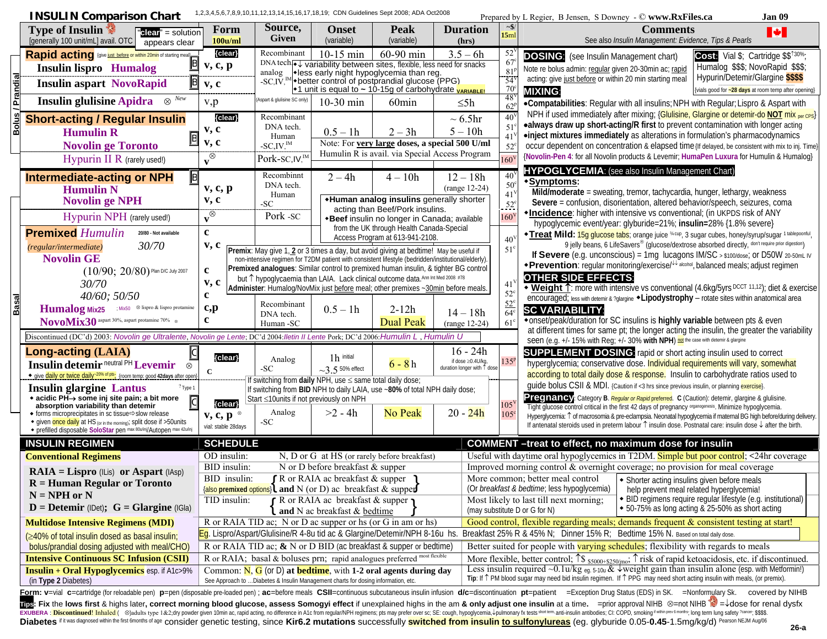|              | <b>INSULIN Comparison Chart</b>                                                                                                                                                                                                                                                                          |                                              |                                                          |                                                                                                                                                                                                                                                                                                                                                                                                                                                            | 1,2,3,4,5,6,7,8,9,10,11,12,13,14,15,16,17,18,19; CDN Guidelines Sept 2008; ADA Oct2008                                                                                                                       |                                                                |                                        | Jan 09<br>Prepared by L Regier, B Jensen, S Downey - © www.RxFiles.ca                                                                                                                                                                                                                                                                                                                                                                                                                                                                                                 |                                                                                                                                                                                                                                                                                                                 |
|--------------|----------------------------------------------------------------------------------------------------------------------------------------------------------------------------------------------------------------------------------------------------------------------------------------------------------|----------------------------------------------|----------------------------------------------------------|------------------------------------------------------------------------------------------------------------------------------------------------------------------------------------------------------------------------------------------------------------------------------------------------------------------------------------------------------------------------------------------------------------------------------------------------------------|--------------------------------------------------------------------------------------------------------------------------------------------------------------------------------------------------------------|----------------------------------------------------------------|----------------------------------------|-----------------------------------------------------------------------------------------------------------------------------------------------------------------------------------------------------------------------------------------------------------------------------------------------------------------------------------------------------------------------------------------------------------------------------------------------------------------------------------------------------------------------------------------------------------------------|-----------------------------------------------------------------------------------------------------------------------------------------------------------------------------------------------------------------------------------------------------------------------------------------------------------------|
|              | Type of Insulin<br>" $elear" = solution$<br>[generally 100 unit/mL] avail. OTC<br>appears clear                                                                                                                                                                                                          | Form<br>100u/ml                              | Source,<br><b>Given</b>                                  | <b>Onset</b><br>(variable)                                                                                                                                                                                                                                                                                                                                                                                                                                 | <b>Peak</b><br>(variable)                                                                                                                                                                                    | <b>Duration</b><br>(hrs)                                       | 15ml                                   | <b>Comments</b><br>M<br>See also Insulin Management: Evidence, Tips & Pearls                                                                                                                                                                                                                                                                                                                                                                                                                                                                                          |                                                                                                                                                                                                                                                                                                                 |
|              | Rapid acting (give just before or within 20min of starting meal)<br>凹<br><b>Insulin lispro</b> Humalog<br>$\mathbf{I}$ .                                                                                                                                                                                 | {clear}<br>$v, c, p$ <sup>h</sup>            | Recombinant                                              | $10-15$ min                                                                                                                                                                                                                                                                                                                                                                                                                                                | 60-90 min<br>DNA tech→ variability between sites, flexible, less need for snacks<br>analog veloss early night hypoglycemia than reg.<br>-SC,IV, <sup>IM</sup> + better control of postprandial glucose (PPG) | $3.5 - 6h$                                                     | 52<br>67<br>81<br>$\overline{54}$      | <b>DOSING:</b> (see Insulin Management chart)<br>Cost: Vial \$; Cartridge \$\$ <sup>130%</sup> ;<br>Humalog \$\$\$; NovoRapid \$\$\$;<br>Note re bolus admin: regular given 20-30min ac; rapid<br>Hypurin/Detemir/Glargine \$\$\$\$<br>acting: give just before or within 20 min starting meal                                                                                                                                                                                                                                                                        |                                                                                                                                                                                                                                                                                                                 |
|              | B <br>Insulin aspart NovoRapid   h                                                                                                                                                                                                                                                                       | v, c                                         |                                                          |                                                                                                                                                                                                                                                                                                                                                                                                                                                            | $\cdot$ 1 unit is equal to ~ 10-15g of carbohydrate $\overline{v_{ARIABLE}}$                                                                                                                                 |                                                                | 70<br>48                               | {vials good for ~28 days at room temp after opening}<br><b>MIXING:</b>                                                                                                                                                                                                                                                                                                                                                                                                                                                                                                |                                                                                                                                                                                                                                                                                                                 |
|              | Insulin glulisine Apidra, $\otimes^{N_{ew}}$                                                                                                                                                                                                                                                             | v, p                                         | Aspart & glulisine SC only)                              | 10-30 min                                                                                                                                                                                                                                                                                                                                                                                                                                                  | 60 <sub>min</sub>                                                                                                                                                                                            | $\leq$ 5h                                                      | 62                                     | .Compatabilities: Regular with all insulins; NPH with Regular; Lispro & Aspart with                                                                                                                                                                                                                                                                                                                                                                                                                                                                                   |                                                                                                                                                                                                                                                                                                                 |
| 낆            | <b>Short-acting / Regular Insulin</b><br><b>Humulin R</b>                                                                                                                                                                                                                                                | {clear}<br>v, c<br>v, c                      | Recombinant<br>DNA tech.<br>Human                        | $0.5 - 1h$                                                                                                                                                                                                                                                                                                                                                                                                                                                 | $2 - 3h$<br>Note: For very large doses, a special 500 U/ml                                                                                                                                                   | $\sim 6.5$ hr<br>$5 - 10h$                                     | 40 <sup>°</sup><br>51                  | NPH if used immediately after mixing; {Glulisine, Glargine or detemir-do NOT mix per CPS}<br>•always draw up short-acting/R first to prevent contamination with longer acting<br>•inject mixtures immediately as alterations in formulation's pharmacodynamics                                                                                                                                                                                                                                                                                                        |                                                                                                                                                                                                                                                                                                                 |
|              | <b>Novolin ge Toronto</b><br>Hypurin II R (rarely used!)                                                                                                                                                                                                                                                 | $\sqrt{\otimes}$                             | $-SC$ , $IV$ , $^{IM}$<br>Pork-SC, IV, <sup>IM</sup>     |                                                                                                                                                                                                                                                                                                                                                                                                                                                            | Humulin R is avail. via Special Access Program                                                                                                                                                               |                                                                | $52^\circ$<br>160                      | occur dependent on concentration & elapsed time (If delayed, be consistent with mix to inj. Time)<br>{Novolin-Pen 4: for all Novolin products & Levemir; HumaPen Luxura for Humulin & Humalog}<br><b>HYPOGLYCEMIA:</b> (see also Insulin Management Chart)                                                                                                                                                                                                                                                                                                            |                                                                                                                                                                                                                                                                                                                 |
|              | <b>B</b><br><b>Intermediate-acting or NPH</b><br><b>Humulin N</b><br><b>Novolin ge NPH</b>                                                                                                                                                                                                               | $v, c, p$ <sup>h</sup><br>v, c               | Recombinnt<br>DNA tech.<br>Human<br>$-SC$                | $2 - 4h$                                                                                                                                                                                                                                                                                                                                                                                                                                                   | $4 - 10h$<br>*Human analog insulins generally shorter<br>acting than Beef/Pork insulins.                                                                                                                     | $12 - 18h$<br>$(range 12-24)$                                  | 40<br>$50^\circ$<br>41<br>$52^{\circ}$ | ◆Symptoms:<br>Mild/moderate = sweating, tremor, tachycardia, hunger, lethargy, weakness<br>Severe = confusion, disorientation, altered behavior/speech, seizures, coma<br>*Incidence: higher with intensive vs conventional; (in UKPDS risk of ANY                                                                                                                                                                                                                                                                                                                    |                                                                                                                                                                                                                                                                                                                 |
|              | Hypurin NPH (rarely used!)<br><b>Premixed Humulin</b><br>20/80 - Not available                                                                                                                                                                                                                           | $\sqrt{\otimes}$<br>e <sup>h</sup>           | Pork - SC                                                |                                                                                                                                                                                                                                                                                                                                                                                                                                                            | *Beef insulin no longer in Canada; available<br>from the UK through Health Canada-Special<br>Access Program at 613-941-2108.                                                                                 |                                                                | 160'<br>40 <sup>′</sup>                | hypoglycemic event/year: glyburide=21%; insulin=28% {1.8% severe}<br><b>*Treat Mild:</b> 15g glucose tabs; orange juice <sup>34 cup</sup> , 3 sugar cubes, honey/syrup/sugar 1 tablepoonful,<br>9 jelly beans, 6 LifeSavers® (glucose/dextrose absorbed directly, don't require prior digestion)                                                                                                                                                                                                                                                                      |                                                                                                                                                                                                                                                                                                                 |
|              | 30/70<br>(regular/intermediate)<br><b>Novolin GE</b><br>$(10/90; 20/80)$ Plan D/C July 2007<br>30/70                                                                                                                                                                                                     | v, c<br>$\mathbf c$<br>v, c<br>$\mathbf c$   |                                                          | Premix: May give 1, 2 or 3 times a day, but avoid giving at bedtime! May be useful if<br>non-intensive regimen for T2DM patient with consistent lifestyle (bedridden/institutional/elderly).<br>Premixed analogues: Similar control to premixed human insulin, & tighter BG control<br>but 1 hypoglycaemia than LAIA. Lack clinical outcome data. Ann Int Med 2008 #78<br>Administer: Humalog/NovMix just before meal; other premixes ~30min before meals. |                                                                                                                                                                                                              |                                                                | $51^{\circ}$<br>41<br>$52^{\circ}$     | If Severe (e.g. unconscious) = 1mg lucagons IM/SC > \$100/dose; or D50W 20-50mL IV<br>*Prevention: regular monitoring/exercise/ Lakeblal, balanced meals; adjust reqimen<br><b>OTHER SIDE EFFECTS:</b><br>• Weight 1: more with intensive vs conventional (4.6kg/5yrs DCCT 11,12); diet & exercise                                                                                                                                                                                                                                                                    |                                                                                                                                                                                                                                                                                                                 |
| <u>Basal</u> | 40/60; 50/50<br>Humalog Mix25 , / ; Mix50 , S lispro & lispro protamine<br>NovoMix30 aspart 30%, aspart protamine 70%. ®                                                                                                                                                                                 | c, p<br>$\mathbf{c}$                         | Recombinant<br>DNA tech.<br>Human -SC                    | $0.5 - 1h$                                                                                                                                                                                                                                                                                                                                                                                                                                                 |                                                                                                                                                                                                              | $2 - 12h$<br><b>Dual Peak</b>                                  | $14 - 18h$<br>$(range 12-24)$          | $52^{\circ}$<br>64<br>$61^\circ$                                                                                                                                                                                                                                                                                                                                                                                                                                                                                                                                      | encouraged; less with detemir & ?glargine $\triangle$ Lipodystrophy - rotate sites within anatomical area<br><b>SC VARIABILITY:</b><br>*onset/peak/duration for SC insulins is highly variable between pts & even<br>at different times for same pt; the longer acting the insulin, the greater the variability |
|              | Discontinued (DC'd) 2003: Novolin ge Ultralente, Novolin ge Lente; DC'd 2004: Iletin II Lente Pork; DC'd 2006: Humulin L, Humulin U<br>Long-acting (LAIA)<br>Insulin detemir neutral PH Levemir,<br>$\otimes$<br>◆ give daily or twice daily <sup>-20% of pts</sup> ; {room temp: good 42days after open | {clear}<br>$\mathbf C$                       | Analog<br>-SC                                            | $1h$ initial<br>$\sim$ 3.5 50% effect                                                                                                                                                                                                                                                                                                                                                                                                                      | $6 - 8h$                                                                                                                                                                                                     | $16 - 24h$<br>if dose ≥0.4U/kg,<br>duration longer with ↑ dose | 135 <sup>p</sup>                       | Seen (e.g. +/- 15% with Reg; +/- 30% with NPH) not the case with detemir & glargine<br><b>SUPPLEMENT DOSING:</b> rapid or short acting insulin used to correct<br>hyperglycemia; conservative dose. Individual requirements will vary, somewhat<br>according to total daily dose & response. Insulin to carbohydrate ratios used to                                                                                                                                                                                                                                   |                                                                                                                                                                                                                                                                                                                 |
|              | <b>Insulin glargine Lantus</b><br>? Type 1<br>◆ acidic PH→ some inj site pain; a bit more<br>$\overline{c}$<br>absorption variability than detemir<br>◆ forms microprecipitates in sc tissue Slow release<br>• given once daily at HS (or in the morning); split dose if >50 units                       | {clear}<br>v, c, p<br>vial: stable 28davs    | Start ≤10units if not previously on NPH<br>Analog<br>-SC | If switching from daily NPH, use $\leq$ same total daily dose;<br>$>2 - 4h$                                                                                                                                                                                                                                                                                                                                                                                | If switching from BID NPH to daily LAIA, use ~80% of total NPH daily dose;<br>No Peak                                                                                                                        | $20 - 24h$                                                     | 105<br>$105^{\circ}$                   | guide bolus CSII & MDI. {Caution if <3 hrs since previous insulin, or planning exercise}.<br>Pregnancy: Category B. Regular or Rapid preferred. C (Caution): detemir, glargine & glulisine.<br>Tight glucose control critical in the first 42 days of pregnancy <i>aganogenesis</i> . Minimize hypoglycemia.<br>Hyperglycemia: ^ of macrosomia & pre-eclampsia. Neonatal hypoglycemia if maternal BG high before/during delivery.<br>If antenatal steroids used in preterm labour $\uparrow$ insulin dose. Postnatal care: insulin dose $\downarrow$ after the birth. |                                                                                                                                                                                                                                                                                                                 |
|              | • prefilled disposable SoloStar pen max 80u/inj/Autopen max 42u/inj                                                                                                                                                                                                                                      |                                              |                                                          |                                                                                                                                                                                                                                                                                                                                                                                                                                                            |                                                                                                                                                                                                              |                                                                |                                        |                                                                                                                                                                                                                                                                                                                                                                                                                                                                                                                                                                       |                                                                                                                                                                                                                                                                                                                 |
|              | <b>INSULIN REGIMEN</b><br><b>Conventional Regimens</b>                                                                                                                                                                                                                                                   | <b>SCHEDULE</b><br>OD insulin:               |                                                          |                                                                                                                                                                                                                                                                                                                                                                                                                                                            | N, D or G at HS (or rarely before breakfast)                                                                                                                                                                 |                                                                |                                        | <b>COMMENT</b> -treat to effect, no maximum dose for insulin<br>Useful with daytime oral hypoglycemics in T2DM. Simple but poor control; <24hr coverage                                                                                                                                                                                                                                                                                                                                                                                                               |                                                                                                                                                                                                                                                                                                                 |
|              | $RAIA = Lispro (ILis)$ or Aspart (IAsp)<br>$R =$ Human Regular or Toronto<br>$N = NPH$ or N<br>$D =$ <b>Detemir</b> (IDet); $G =$ <b>Glargine</b> (IGIa)                                                                                                                                                 | BID insulin:<br>BID insulin:<br>TID insulin: |                                                          | N or D before breakfast $&$ supper<br>$\int$ R or RAIA ac breakfast & supper $\iota$<br>{also premixed options} and N (or D) ac breakfast & supper<br>r R or RAIA ac breakfast & supper<br>and N ac breakfast & bedtime                                                                                                                                                                                                                                    |                                                                                                                                                                                                              |                                                                |                                        | Improved morning control & overnight coverage; no provision for meal coverage<br>More common; better meal control • Shorter acting insulins given before meals<br>(Or <i>breakfast &amp; bedtime</i> ; less hypoglycemia)<br>help prevent meal related hyperglycemia!<br>• BID regimens require regular lifestyle (e.g. institutional)<br>Most likely to last till next morning;<br>◆ 50-75% as long acting & 25-50% as short acting<br>(may substitute D or G for N)                                                                                                 |                                                                                                                                                                                                                                                                                                                 |
|              | <b>Multidose Intensive Regimens (MDI)</b>                                                                                                                                                                                                                                                                |                                              |                                                          |                                                                                                                                                                                                                                                                                                                                                                                                                                                            | R or RAIA TID ac; N or D ac supper or hs (or G in am or hs)                                                                                                                                                  |                                                                |                                        | Good control, flexible regarding meals; demands frequent & consistent testing at start!                                                                                                                                                                                                                                                                                                                                                                                                                                                                               |                                                                                                                                                                                                                                                                                                                 |
|              | (≥40% of total insulin dosed as basal insulin;                                                                                                                                                                                                                                                           |                                              |                                                          |                                                                                                                                                                                                                                                                                                                                                                                                                                                            | Eg. Lispro/Aspart/Glulisine/R 4-8u tid ac & Glargine/Detemir/NPH 8-16u hs.<br>R or RAIA TID ac; $\&$ N or D BID (ac breakfast & supper or bedtime)                                                           |                                                                |                                        | Breakfast 25% R & 45% N; Dinner 15% R; Bedtime 15% N. Based on total daily dose.<br>Better suited for people with varying schedules; flexibility with regards to meals                                                                                                                                                                                                                                                                                                                                                                                                |                                                                                                                                                                                                                                                                                                                 |
|              | bolus/prandial dosing adjusted with meal/CHO)<br><b>Intensive Continuous SC Infusion (CSII)</b>                                                                                                                                                                                                          |                                              |                                                          |                                                                                                                                                                                                                                                                                                                                                                                                                                                            | R or RAIA; basal & boluses prn; rapid analogues preferred most flexible                                                                                                                                      |                                                                |                                        | More flexible, better control; $\uparrow$ \$ $_{\text{55000+$5250/mo}}$ ; $\uparrow$ risk of rapid ketoacidosis, etc. if discontinued.                                                                                                                                                                                                                                                                                                                                                                                                                                |                                                                                                                                                                                                                                                                                                                 |
|              | <b>Insulin + Oral Hypoglycemics</b> esp. if A1c>9%<br>(in Type 2 Diabetes)                                                                                                                                                                                                                               |                                              |                                                          | See Approach to  Diabetes & Insulin Management charts for dosing information, etc                                                                                                                                                                                                                                                                                                                                                                          | Common: $N$ , $G$ (or D) at <b>bedtime</b> , with 1-2 oral agents during day                                                                                                                                 |                                                                |                                        | Less insulin required ~0.1u/kg eq. 5-10u & $\sqrt{2}$ weight gain than insulin alone (esp. with Metformin!)<br>Tip: If 1 PM blood sugar may need bid insulin regimen. If 1 PPG may need short acting insulin with meals, (or premix).                                                                                                                                                                                                                                                                                                                                 |                                                                                                                                                                                                                                                                                                                 |
|              |                                                                                                                                                                                                                                                                                                          |                                              |                                                          |                                                                                                                                                                                                                                                                                                                                                                                                                                                            |                                                                                                                                                                                                              |                                                                |                                        | Form: v=vial c=cartridge (for reloadable pen) p=pen (disposable pre-loaded pen) : ac=before meals CSII=continuous subcutaneous insulin infusion d/c=discontinuation pt=patient 1 = Exception Drug Status (EDS) in SK., = Nonfo<br>$\frac{1}{200}$ . Fix the leve first 8 bighe later correct merning blood gluesse access Samony offect if unevalgined bighe in the am 8 only adjust ano insulin at a time / -prior annoual NIUD $\otimes$ -pat NIUD $\frac{1}{2}$ - does for                                                                                         |                                                                                                                                                                                                                                                                                                                 |

**These**: Fix the lows first & highs later, correct morning blood glucose, assess Somogyi effect if unexplained highs in the am & only adjust one insulin at a time. ∕ =prior approval NHB ⊗=not NHB ™ =↓dose for renal dysfx Diabetes if it was diagnosed within the first 6months of age consider genetic testing, since Kir6.2 mutations successfully <mark>switched from insulin <u>to sulfonylureas</u> (</mark>eg. glyburide 0.05-**0.45-**1.5mg/kg/d) <sup>pearson NEJM Au</sup>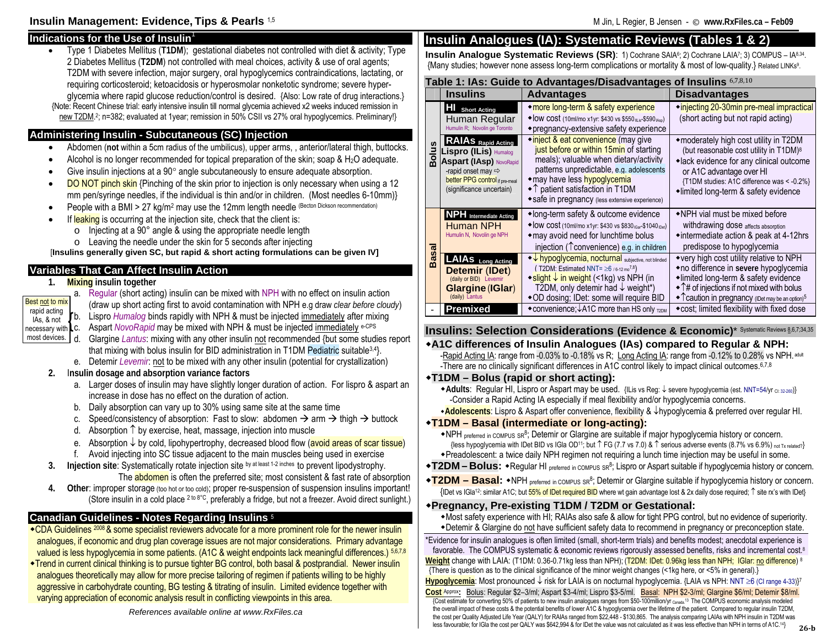#### **Indications for the Use of Insulin** • Type 1 Diabetes Mellitus (**T1DM**); gestational diabetes not controlled with diet & activity; Type 2 Diabetes Mellitus (**T2DM**) not controlled with meal choices, activity & use of oral agents; T2DM with severe infection, major surgery, oral hypoglycemics contraindications, lactating, or requiring corticosteroid; ketoacidosis or hyperosmolar nonketotic syndrome; severe hyperglycemia where rapid glucose reduction/control is desired. {Also: Low rate of drug interactions.} {Note: Recent Chinese trial: early intensive insulin till normal glycemia achieved x2 weeks induced remission in new T2DM. 2; n=382; evaluated at 1year; remission in 50% CSII vs 27% oral hypoglycemics. Preliminary!} **Administering Insulin - Subcutaneous (SC) Injection**  • Abdomen (**not** within a 5cm radius of the umbilicus), upper arms, , anterior/lateral thigh, buttocks. •Alcohol is no longer recommended for topical preparation of the skin; soap  $\& H_2O$  adequate. • Give insulin injections at a 90° angle subcutaneously to ensure adequate absorption. •DO NOT pinch skin {Pinching of the skin prior to injection is only necessary when using a 12 mm pen/syringe needles, if the individual is thin and/or in children. (Most needles 6-10mm)} •People with a BMI > 27 kg/m<sup>2</sup> may use the 12mm length needle (Becton Dickson recommendation) •If leaking is occurring at the injection site, check that the client is:  $\circ$  Injecting at a 90° angle & using the appropriate needle length  $\circ$  Leaving the needle under the skin for 5 seconds after injecting [**Insulins generally given SC, but rapid & short acting formulations can be given IV] Variables That Can Affect Insulin Action 1. Mixing insulin together**  a. Regular (short acting) insulin can be mixed with NPH with no effect on insulin action (draw up short acting first to avoid contamination with NPH e.g draw *clear before cloudy*) b. Lispro *Humalog* binds rapidly with NPH & must be injected immediately after mixing  $\begin{matrix} \text{Lapla } \text{d} \\ \text{Lapla } \text{d} \\ \text{Laplace} \end{matrix}$  and  $\begin{matrix} \text{Laplace} \\ \text{Laplace} \\ \text{Laplace} \end{matrix}$ Aspart *NovoRapid* may be mixed with NPH & must be injected immediately e-CPS d. Glargine *Lantus*: mixing with any other insulin not recommended {but some studies report that mixing with bolus insulin for BID administration in T1DM Pediatric suitable3,4}. e. Detemir *Levemir*: not to be mixed with any other insulin (potential for crystallization) **2.** I**nsulin dosage and absorption variance factors**  a. Larger doses of insulin may have slightly longer duration of action. For lispro & aspart an increase in dose has no effect on the duration of action. b. Daily absorption can vary up to 30% using same site at the same time c.Speed/consistency of absorption: Fast to slow: abdomen  $\rightarrow$  arm  $\rightarrow$  thigh  $\rightarrow$  buttock d. Absorption ↑ by exercise, heat, massage, injection into muscle e. Absorption ↓ by cold, lipohypertrophy, decreased blood flow (avoid areas of scar tissue) f. Avoid injecting into SC tissue adjacent to the main muscles being used in exercise **3. Injection site**: Systematically rotate injection site by at least 1-2 inches to prevent lipodystrophy. The **abdomen** is often the preferred site; most consistent & fast rate of absorption **4. Other**: improper storage (too hot or too cold); proper re-suspension of suspension insulins important! (Store insulin in a cold place 2 to 8°C, preferably a fridge, but not a freezer. Avoid direct sunlight.) **Canadian Guidelines - Notes Regarding Insulins** <sup>5</sup> CDA Guidelines 2008 & some specialist reviewers advocate for a more prominent role for the newer insulin analogues, if economic and drug plan coverage issues are not major considerations. Primary advantage valued is less hypoglycemia in some patients. (A1C & weight endpoints lack meaningful differences.) 5,6,7,8 Trend in current clinical thinking is to pursue tighter BG control, both basal & postprandial. Newer insulin analogues theoretically may allow for more precise tailoring of regimen if patients willing to be highly aggressive in carbohydrate counting, BG testing & titrating of insulin. Limited evidence together with **HI Short Acting** Human Regular Humulin R; Novolin ge Toronto **Bolus RAIAs Rapid Acting Lispro (ILis)** Humalog **Aspart (IAsp)** NovoRapid -rapid onset may Ö**better PPG control** if pre-meal (significance uncertain) **NPH Intermediate Acting** Human NPH Humulin N, Novolin ge NPH **Basal LAIAs Long Acting Detemir** (**IDet**) (daily or BID) Levemir **Glargine** (**IGlar**) (daily) Lantus Best not to mix rapid acting IAs, & not most devices.

varying appreciation of economic analysis result in conflicting viewpoints in this area.

*References available online at www.RxFiles.ca* 

# **Insulin Analogues (IA): Systematic Reviews (Tables 1 & 2)**

**Insulin Analogue Systematic Reviews (SR):** 1) Cochrane SAIA<sup>6</sup>; 2) Cochrane LAIA<sup>7</sup>; 3) COMPUS – IA8,34. {Many studies; however none assess long-term complications or mortality & most of low-quality.} Related LINKs9.

# **Table 1: IAs: Guide to Advantages/Disadvantages of Insulins** 6,7,8,10 **Insulins Advantages Disadvantages**

|         | 1115411115                                                                                                                                                                           | Auvaniayes                                                                                                                                                                                                                                                                                            | DISAUVAIILAYES                                                                                                                                                                                                                                                                  |
|---------|--------------------------------------------------------------------------------------------------------------------------------------------------------------------------------------|-------------------------------------------------------------------------------------------------------------------------------------------------------------------------------------------------------------------------------------------------------------------------------------------------------|---------------------------------------------------------------------------------------------------------------------------------------------------------------------------------------------------------------------------------------------------------------------------------|
|         | HI Short Acting<br>Human Regular<br>Humulin R; Novolin ge Toronto                                                                                                                    | *more long-term & safety experience<br>• low cost (10ml/mo x1yr: \$430 vs \$550 mlis-\$590 lAsp)<br>• pregnancy-extensive safety experience                                                                                                                                                           | • injecting 20-30 min pre-meal impractical<br>(short acting but not rapid acting)                                                                                                                                                                                               |
| ត្ត     | <b>RAIAS</b> Rapid Acting<br>Lispro (ILis) Humalog<br><b>Aspart (IAsp) NovoRapid</b><br>-rapid onset may $\Rightarrow$<br>better PPG control if pre-meal<br>(significance uncertain) | <b>◆inject &amp; eat convenience</b> (may give<br>just before or within 15 min of starting<br>meals); valuable when dietary/activity<br>patterns unpredictable, e.g. adolescents<br>∗may have less hypoglycemia<br>◆↑ patient satisfaction in T1DM<br>◆ safe in pregnancy (less extensive experience) | • moderately high cost utility in T2DM<br>(but reasonable cost utility in T1DM) <sup>8</sup><br>• lack evidence for any clinical outcome<br>or A1C advantage over HI<br>{T1DM studies: A1C difference was < - 0.2%}<br>•limited long-term & safety evidence                     |
|         | <b>NPH</b> Intermediate Acting<br>Human NPH<br>Humulin N, Novolin ge NPH                                                                                                             | •long-term safety & outcome evidence<br>$\triangle$ low cost (10ml/mo x1yr: \$430 vs \$830 iGar-\$1040 iDet)<br>• may avoid need for lunchtime bolus<br>injection (Tconvenience) e.g. in children                                                                                                     | •NPH vial must be mixed before<br>withdrawing dose affects absorption<br>• intermediate action & peak at 4-12hrs<br>predispose to hypoglycemia                                                                                                                                  |
| 3g<br>D | LAIAS Long Acting<br><b>Detemir (IDet)</b><br>(daily or BID) Levemir<br>Glargine (IGlar)<br>(daily) Lantus                                                                           | $\overline{\mathcal{A}}$ hypoglycemia, nocturnal subjective, not blinded<br>(T2DM: Estimated NNT= $\geq 6$ /6-12 mo <sup>7,8</sup> )<br>$\rightarrow$ slight $\downarrow$ in weight (<1kg) vs NPH (in<br>T2DM, only detemir had $\downarrow$ weight*)<br>◆OD dosing; IDet: some will require BID      | ◆ very high cost utility relative to NPH<br>• no difference in severe hypoglycemia<br>• limited long-term & safety evidence<br>$\hat{ }$ $\uparrow$ $\uparrow$ $\uparrow$ of injections if not mixed with bolus<br>• Tcaution in pregnancy (IDet may be an option) <sup>5</sup> |
|         | Premixed                                                                                                                                                                             | • convenience; $\downarrow$ A1C more than HS only $_{720M}$                                                                                                                                                                                                                                           | ◆ cost; limited flexibility with fixed dose                                                                                                                                                                                                                                     |

**Insulins: Selection Considerations (Evidence & Economic)**\* Systematic Reviews 8,6,7;34,35

**A1C differences of Insulin Analogues (IAs) compared to Regular & NPH:**  -Rapid Acting IA: range from -0.03% to -0.18% vs R; Long Acting IA: range from -0.12% to 0.28% vs NPH. adult -There are no clinically significant differences in A1C control likely to impact clinical outcomes. 6,7,8

**T1DM – Bolus (rapid or short acting):** 

**Adults**: Regular HI, Lispro or Aspart may be used. {ILis vs Reg: ↓ severe hypoglycemia (est. NNT=54/yr CI: 32-260)} -Consider a Rapid Acting IA especially if meal flexibility and/or hypoglycemia concerns.

**Adolescents**: Lispro & Aspart offer convenience, flexibility & ↓hypoglycemia & preferred over regular HI.

# **T1DM – Basal (intermediate or long-acting):**

• NPH preferred in COMPUS SR<sup>8</sup>; Detemir or Glargine are suitable if major hypoglycemia history or concern. {less hypoglycemia with IDet BID vs IGla OD11; but ↑ FG (7.7 vs 7.0) & ↑ serious adverse events (8.7% vs 6.9%) not Tx related?} Preadolescent: a twice daily NPH regimen not requiring a lunch time injection may be useful in some.

- ◆T2DM Bolus: ◆Regular HI <sub>preferred in compus sR<sup>8</sup>; Lispro or Aspart suitable if hypoglycemia history or concern.</sub>
- **T2DM Basal:** •NPH preferred in COMPUS SR<sup>8</sup>; Detemir or Glargine suitable if hypoglycemia history or concern. {IDet vs IGla12: similar A1C; but 55% of IDet required BID where wt gain advantage lost & 2x daily dose required; ↑ site rx's with IDet}

### **Pregnancy, Pre-existing T1DM / T2DM or Gestational:**

Most safety experience with HI; RAIAs also safe & allow for tight PPG control, but no evidence of superiority. Detemir & Glargine do not have sufficient safety data to recommend in pregnancy or preconception state.

\*Evidence for insulin analogues is often limited (small, short-term trials) and benefits modest; anecdotal experience is favorable. The COMPUS systematic & economic reviews rigorously assessed benefits, risks and incremental cost.<sup>8</sup> **Weight** change with LAIA: (T1DM: 0.36-0.71kg less than NPH); (T2DM: IDet: 0.96kg less than NPH; IGlar: no difference) 8 {There is question as to the clinical significance of the minor weight changes (<1kg here, or <5% in general).} **Hypoglycemia**: Most pronounced ↓ risk for LAIA is on nocturnal hypoglycemia. {LAIA vs NPH: NNT ≥6 (CI range 4-33)}7

**Cost** Approx**:** Bolus: Regular \$2–3/ml; Aspart \$3-4/ml; Lispro \$3-5/ml. Basal: NPH \$2-3/ml; Glargine \$6/ml; Detemir \$8/ml. **FORM COST CONVERTS FOR CONVERTING THE CONVERTS FOR A THE CONVERTS FOR A THE COMPUS ECONDITI**<br>{Cost estimate for converting 50% of patients to new insulin analogues ranges from \$50-100million/yr canada.<sup>13</sup> The COMPUS econ the overall impact of these costs & the potential benefits of lower A1C & hypoglycemia over the lifetime of the patient. Compared to regular insulin T2DM, the cost per Quality Adjusted Life Year (QALY) for RAIAs ranged from \$22,448 - \$130,865. The analysis comparing LAIAs with NPH insulin in T2DM was less favourable; for IGla the cost per QALY was \$642,994 & for IDet the value was not calculated as it was less effective than NPH in terms of A1C.14}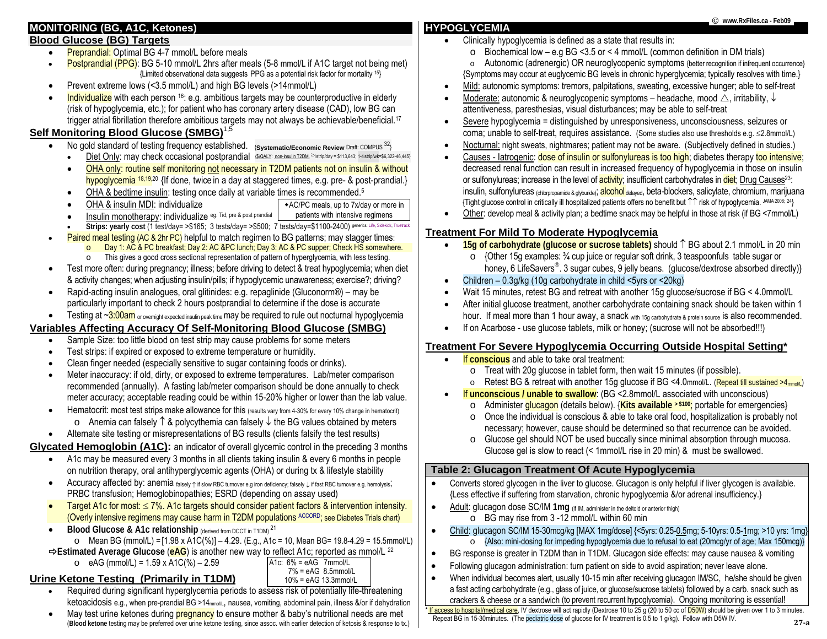# **MONITORING (BG, A1C, Ketones)**

### **Blood Glucose (BG) Targets**

•

- •Preprandial: Optimal BG 4-7 mmol/L before meals
- •Postprandial (PPG): BG 5-10 mmol/L 2hrs after meals (5-8 mmol/L if A1C target not being met) {Limited observational data suggests PPG as a potential risk factor for mortality 15}
- •Prevent extreme lows (<3.5 mmol/L) and high BG levels (>14mmol/L)
- •Individualize with each person 16: e.g. ambitious targets may be counterproductive in elderly (risk of hypoglycemia, etc.); for patient who has coronary artery disease (CAD), low BG can trigger atrial fibrillation therefore ambitious targets may not always be achievable/beneficial.<sup>17</sup>

# **Self Monitoring Blood Glucose (SMBG)**<sup>1,5</sup>

- • No gold standard of testing frequency established. {**Systematic/Economic Review** Draft: COMPUS 32}
	- •Diet Only: may check occasional postprandial {\$\QALY: non-insulin T2DM, ≥1strip/day = \$113,643; 1-4 strip/wk=\$6,322-46,445}
	- • OHA only: routine self monitoring not necessary in T2DM patients not on insulin & without hypoglycemia <sup>18,19,20</sup> {If done, twice in a day at staggered times, e.g. pre- & post-prandial.}
	- •OHA & bedtime insulin: testing once daily at variable times is recommended.5
	- • OHA & insulin MDI: individualize AC/PC meals, up to 7x/day or more in patients with intensive regimens
	- • Insulin monotherapy: individualize eg. Tid, pre & post prandial •**Strips: yearly cost (1 test/day= >\$165; 3 tests/day= >\$500; 7 tests/day=\$1100-2400) generics: Life, Sidekick, Truetrack**
- Paired meal testing (AC & 2hr PC) helpful to match regimen to BG patterns; may stagger times:
	- oDay 1: AC & PC breakfast; Day 2: AC &PC lunch; Day 3: AC & PC supper; Check HS somewhere.
		- oThis gives a good cross sectional representation of pattern of hyperglycemia, with less testing.
- • Test more often: during pregnancy; illness; before driving to detect & treat hypoglycemia; when diet & activity changes; when adjusting insulin/pills; if hypoglycemic unawareness; exercise?; driving?
- $\bullet$  Rapid-acting insulin analogues, oral glitinides: e.g. repaglinide (Gluconorm®) – may be particularly important to check 2 hours postprandial to determine if the dose is accurate
- •Testing at ~3:00am or overnight expected insulin peak time may be required to rule out nocturnal hypoglycemia

# **Variables Affecting Accuracy Of Self-Monitoring Blood Glucose (SMBG)**

- •Sample Size: too little blood on test strip may cause problems for some meters
- •Test strips: if expired or exposed to extreme temperature or humidity.
- •Clean finger needed (especially sensitive to sugar containing foods or drinks).
- • Meter inaccuracy: if old, dirty, or exposed to extreme temperatures. Lab/meter comparison recommended (annually). A fasting lab/meter comparison should be done annually to check meter accuracy; acceptable reading could be within 15-20% higher or lower than the lab value.
- •Hematocrit: most test strips make allowance for this (results vary from 4-30% for every 10% change in hematocrit) o Anemia can falsely ↑ & polycythemia can falsely ↓ the BG values obtained by meters
- •Alternate site testing or misrepresentations of BG results (clients falsify the test results)

# **Glycated Hemoglobin (A1C):** an indicator of overall glycemic control in the preceding 3 months

- • A1c may be measured every 3 months in all clients taking insulin & every 6 months in people on nutrition therapy, oral antihyperglycemic agents (OHA) or during tx & lifestyle stability
- •Accuracy affected by: anemia falsely ↑ if slow RBC turnover e.g iron deficiency; falsely ↓ if fast RBC turnover e.g. hemolysis; PRBC transfusion; Hemoglobinopathies; ESRD (depending on assay used)
- •**Target A1c for most:**  $\leq$  7%. A1c targets should consider patient factors & intervention intensity. (Overly intensive regimens may cause harm in T2DM populations ACCORD; see Diabetes Trials chart)
- •**Blood Glucose & A1c relationship** (derived from DCCT in T1DM)<sup>21</sup>
- o Mean BG (mmol/L) = [1.98 x A1C(%)] 4.29. (E.g., A1c = 10, Mean BG= 19.8-4.29 = 15.5mmol/L) <sup>Ö</sup>**Estimated Average Glucose** (**eAG**) is another new way to reflect A1c; reported as mmol/L 22
- o eAG (mmol/L) = 1.59 x A1C(%) 2.59

#### A1c: 6% = eAG 7mmol/L 7% = eAG 8.5mmol/L 10% = eAG 13.3mmol/L

# **Urine Ketone Testing (Primarily in T1DM)**

- • Required during significant hyperglycemia periods to assess risk of potentially life-threatening ketoacidosis e.g., when pre-prandial BG >14<sub>mmol/L</sub>, nausea, vomiting, abdominal pain, illness &/or if dehydration
- •May test urine ketones during **pregnancy** to ensure mother & baby's nutritional needs are met (**Blood ketone** testing may be preferred over urine ketone testing, since assoc. with earlier detection of ketosis & response to tx.)

# **HYPOGLYCEMIA**

•

•

•

- • Clinically hypoglycemia is defined as a state that results in:
	- o Biochemical low e.g BG <3.5 or < 4 mmol/L (common definition in DM trials)
	- o Autonomic (adrenergic) OR neuroglycopenic symptoms {better recognition if infrequent occurrence} {Symptoms may occur at euglycemic BG levels in chronic hyperglycemia; typically resolves with time.}
- •Mild: autonomic symptoms: tremors, palpitations, sweating, excessive hunger; able to self-treat
- •• Moderate: autonomic & neuroglycopenic symptoms – headache, mood  $\triangle$ , irritability,  $\downarrow$ attentiveness, paresthesias, visual disturbances; may be able to self-treat
- • Severe hypoglycemia = distinguished by unresponsiveness, unconsciousness, seizures or coma; unable to self-treat, requires assistance. (Some studies also use thresholds e.g. ≤2.8mmol/L)
- •Nocturnal: night sweats, nightmares; patient may not be aware. (Subjectively defined in studies.)
- • Causes - Iatrogenic: dose of insulin or sulfonylureas is too high; diabetes therapy too intensive; decreased renal function can result in increased frequency of hypoglycemia in those on insulin or sulfonylureas; increase in the level of **activity**; insufficient carbohydrates in diet; Drug Causes<sup>23</sup>: insulin, sulfonylureas <sub>(chlorpropamide & glyburide);</sub> alcohol <sub>delayed</sub>, beta-blockers, salicylate, chromium, marijuana {Tight glucose control in critically ill hospitalized patients offers no benefit but ↑↑ risk of hypoglycemia. JAMA 2008; 24}
- •Other: develop meal & activity plan; a bedtime snack may be helpful in those at risk (if BG <7mmol/L)

# **Treatment For Mild To Moderate Hypoglycemia**

- •• 15g of carbohydrate (glucose or sucrose tablets) should ↑ BG about 2.1 mmol/L in 20 min
	- o {Other 15g examples: ¾ cup juice or regular soft drink, 3 teaspoonfuls table sugar or honey, 6 LifeSavers<sup>®</sup>. 3 sugar cubes, 9 jelly beans. (glucose/dextrose absorbed directly)}
- •Children – 0.3g/kg (10g carbohydrate in child <5yrs or <20kg)
- •Wait 15 minutes, retest BG and retreat with another 15g glucose/sucrose if BG < 4.0mmol/L
- • After initial glucose treatment, another carbohydrate containing snack should be taken within 1 hour. If meal more than 1 hour away, a snack with 15g carbohydrate & protein source is also recommended.
- •If on Acarbose - use glucose tablets, milk or honey; (sucrose will not be absorbed!!!)

# **Treatment For Severe Hypoglycemia Occurring Outside Hospital Setting\***

- • If **conscious** and able to take oral treatment:
	- o Treat with 20g glucose in tablet form, then wait 15 minutes (if possible).
	- $\circ$  Retest BG & retreat with another 15g glucose if BG <4.0mmol/L. (<mark>Repeat till sustained >4<sub>mmol/L</sub>)</mark>
	- If **unconscious / unable to swallow**: (BG <2.8mmol/L associated with unconscious)
	- o Administer glucagon (details below). {**Kits available > \$100**; portable for emergencies}
	- o Once the individual is conscious & able to take oral food, hospitalization is probably not necessary; however, cause should be determined so that recurrence can be avoided.
	- $\circ$  Glucose gel should NOT be used buccally since minimal absorption through mucosa. Glucose gel is slow to react (< 1mmol/L rise in 20 min) & must be swallowed.

# **Table 2: Glucagon Treatment Of Acute Hypoglycemia**

- • Converts stored glycogen in the liver to glucose. Glucagon is only helpful if liver glycogen is available. {Less effective if suffering from starvation, chronic hypoglycemia &/or adrenal insufficiency.}
- •Adult: glucagon dose SC/IM 1mg (if IM, administer in the deltoid or anterior thigh) o BG may rise from 3 -12 mmol/L within 60 min
	- Child: glucagon SC/IM 15-30mcg/kg [MAX 1mg/dose] {<5yrs: 0.25-0.5mg; 5-10yrs: 0.5-1mg; >10 yrs: 1mg} o {Also: mini-dosing for impeding hypoglycemia due to refusal to eat (20mcg/yr of age; Max 150mcg)}
- BG response is greater in T2DM than in T1DM. Glucagon side effects: may cause nausea & vomiting
- •Following glucagon administration: turn patient on side to avoid aspiration; never leave alone.
- •When individual becomes alert, usually 10-15 min after receiving glucagon IM/SC, he/she should be given a fast acting carbohydrate (e.g., glass of juice, or glucose/sucrose tablets) followed by a carb. snack such as crackers & cheese or a sandwich (to prevent recurrent hypoglycemia). Ongoing monitoring is essential!

\* If access to hospital/medical care, IV dextrose will act rapidly (Dextrose 10 to 25 g (20 to 50 cc of D50W) should be given over 1 to 3 minutes. Repeat BG in 15-30minutes. (The pediatric dose of glucose for IV treatment is 0.5 to 1 g/kg). Follow with D5W IV.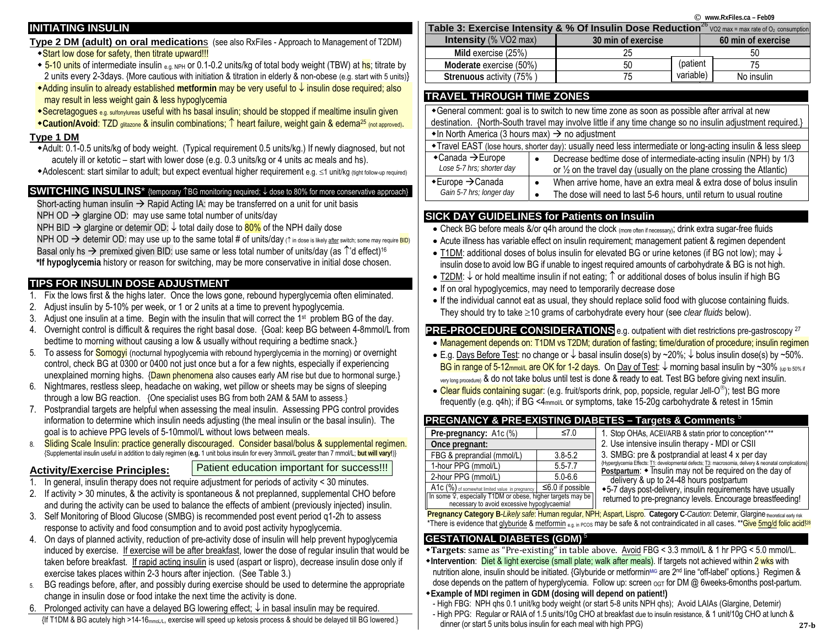# **INITIATING INSULIN**

**Type 2 DM (adult) on oral medication**<sup>s</sup> (see also RxFiles - Approach to Management of T2DM)

### ◆ Start low dose for safety, then titrate upward!!!

- $\bullet$  5-10 units of intermediate insulin  $_{6.0\text{ NPH}}$  or 0.1-0.2 units/kg of total body weight (TBW) at hs; titrate by 2 units every 2-3days. {More cautious with initiation & titration in elderly & non-obese (e.g. start with 5 units)}
- Adding insulin to already established **metformin** may be very useful to ↓ insulin dose required; also may result in less weight gain & less hypoglycemia
- Secretagogues e.g. sulfonylureas useful with hs basal insulin; should be stopped if mealtime insulin given
- **Caution/Avoid**: TZD glitazone & insulin combinations; ↑ heart failure, weight gain & edema25 (not approved).

### **Type 1 DM**

- Adult: 0.1-0.5 units/kg of body weight. (Typical requirement 0.5 units/kg.) If newly diagnosed, but not acutely ill or ketotic – start with lower dose (e.g. 0.3 units/kg or 4 units ac meals and hs).
- Adolescent: start similar to adult; but expect eventual higher requirement e.g. ≤1 unit/kg (tight follow-up required)

# **SWITCHING INSULINS**<sup>\*</sup> {temporary 1<sup>BG</sup> monitoring required; ↓ dose to 80% for more conservative approach}

Short-acting human insulin  $\rightarrow$  Rapid Acting IA: may be transferred on a unit for unit basis

NPH OD  $\rightarrow$  glargine OD: may use same total number of units/day

NPH BID  $\rightarrow$  glargine or detemir OD:  $\downarrow$  total daily dose to  $80\%$  of the NPH daily dose

<code>NPH OD</code>  $\rightarrow$  detemir OD: may use up to the same total # of units/day (↑ in dose is likely <u>after</u> switch; some may require <mark>BID</mark>) Basal only hs  $\rightarrow$  premixed given BID: use same or less total number of units/day (as  $\hat{\ }$ 'd effect)<sup>16</sup>  **\*If hypoglycemia** history or reason for switching, may be more conservative in initial dose chosen.

# **TIPS FOR INSULIN DOSE ADJUSTMENT**

- 1.Fix the lows first & the highs later. Once the lows gone, rebound hyperglycemia often eliminated.
- 2.Adjust insulin by 5-10% per week, or 1 or 2 units at a time to prevent hypoglycemia.
- 3. Adjust one insulin at a time. Begin with the insulin that will correct the 1st problem BG of the day.
- 4. Overnight control is difficult & requires the right basal dose. {Goal: keep BG between 4-8mmol/L from bedtime to morning without causing a low & usually without requiring a bedtime snack.}
- 5. To assess for <mark>Somogyi</mark> (nocturnal hypoglycemia with rebound hyperglycemia in the morning) or overnight control, check BG at 0300 or 0400 not just once but a for a few nights, especially if experiencing unexplained morning highs. {Dawn phenomena also causes early AM rise but due to hormonal surge.}
- 6. Nightmares, restless sleep, headache on waking, wet pillow or sheets may be signs of sleeping through a low BG reaction. {One specialist uses BG from both 2AM & 5AM to assess.}
- 7. Postprandial targets are helpful when assessing the meal insulin. Assessing PPG control provides information to determine which insulin needs adjusting (the meal insulin or the basal insulin). The goal is to achieve PPG levels of 5-10mmol/L without lows between meals.
- 8. Sliding Scale Insulin: practice generally discouraged. Consider basal/bolus & supplemental regimen. {Supplemental insulin useful in addition to daily regimen (**e.g.** 1 unit bolus insulin for every 3mmol/L greater than 7 mmol/L; **but will vary!**)}

# **Activity/Exercise Principles:**

Patient education important for success!!!

- 1.In general, insulin therapy does not require adjustment for periods of activity < 30 minutes.
- 2. If activity > 30 minutes, & the activity is spontaneous & not preplanned, supplemental CHO before and during the activity can be used to balance the effects of ambient (previously injected) insulin.
- 3. Self Monitoring of Blood Glucose (SMBG) is recommended post event period q1-2h to assess response to activity and food consumption and to avoid post activity hypoglycemia.
- 4. On days of planned activity, reduction of pre-activity dose of insulin will help prevent hypoglycemia induced by exercise. If exercise will be after breakfast, lower the dose of regular insulin that would be taken before breakfast. If rapid acting insulin is used (aspart or lispro), decrease insulin dose only if exercise takes places within 2-3 hours after injection. (See Table 3.)
- 5. BG readings before, after, and possibly during exercise should be used to determine the appropriate change in insulin dose or food intake the next time the activity is done.
- 6. Prolonged activity can have a delayed BG lowering effect; ↓ in basal insulin may be required.

{If T1DM & BG acutely high >14-16mmoL/L, exercise will speed up ketosis process & should be delayed till BG lowered.}

| Table 3: Exercise Intensity & % Of Insulin Dose Reduction <sup>26</sup> VO2 max = max rate of O2 consumption |                    |           |                    |  |  |  |  |  |  |  |  |
|--------------------------------------------------------------------------------------------------------------|--------------------|-----------|--------------------|--|--|--|--|--|--|--|--|
| <b>Intensity</b> (% VO2 max)                                                                                 | 30 min of exercise |           | 60 min of exercise |  |  |  |  |  |  |  |  |
| Mild exercise (25%)                                                                                          | 25                 |           | 50                 |  |  |  |  |  |  |  |  |
| Moderate exercise (50%)                                                                                      | 50                 | (patient  | 75                 |  |  |  |  |  |  |  |  |
| Strenuous activity (75%)                                                                                     |                    | variable) | No insulin         |  |  |  |  |  |  |  |  |
|                                                                                                              |                    |           |                    |  |  |  |  |  |  |  |  |

# **TRAVEL THROUGH TIME ZONES**

| *General comment: goal is to switch to new time zone as soon as possible after arrival at new<br>destination. {North-South travel may involve little if any time change so no insulin adjustment required.} |                                                                                                                                                                   |  |  |  |  |  |
|-------------------------------------------------------------------------------------------------------------------------------------------------------------------------------------------------------------|-------------------------------------------------------------------------------------------------------------------------------------------------------------------|--|--|--|--|--|
| $\bullet$ In North America (3 hours max) $\rightarrow$ no adjustment                                                                                                                                        |                                                                                                                                                                   |  |  |  |  |  |
| • Travel EAST (lose hours, shorter day): usually need less intermediate or long-acting insulin & less sleep                                                                                                 |                                                                                                                                                                   |  |  |  |  |  |
| $\triangle$ Canada $\rightarrow$ Europe<br>Lose 5-7 hrs; shorter day                                                                                                                                        | Decrease bedtime dose of intermediate-acting insulin (NPH) by 1/3<br>$\bullet$<br>or $\frac{1}{2}$ on the travel day (usually on the plane crossing the Atlantic) |  |  |  |  |  |
| $\bullet$ Europe $\rightarrow$ Canada<br>Gain 5-7 hrs; longer day                                                                                                                                           | When arrive home, have an extra meal & extra dose of bolus insulin<br>٠<br>The dose will need to last 5-6 hours, until return to usual routine                    |  |  |  |  |  |

# **SICK DAY GUIDELINES for Patients on Insulin**

- Check BG before meals &/or q4h around the clock (more often if necessary); drink extra sugar-free fluids
- Acute illness has variable effect on insulin requirement; management patient & regimen dependent
- T1DM: additional doses of bolus insulin for elevated BG or urine ketones (if BG not low); may ↓ insulin dose to avoid low BG if unable to ingest required amounts of carbohydrate & BG is not high.
- T2DM:  $\downarrow$  or hold mealtime insulin if not eating;  $\uparrow$  or additional doses of bolus insulin if high BG
- If on oral hypoglycemics, may need to temporarily decrease dose
- If the individual cannot eat as usual, they should replace solid food with glucose containing fluids. They should try to take <sup>≥</sup>10 grams of carbohydrate every hour (see *clear fluids* below).

**PRE-PROCEDURE CONSIDERATIONS** e.g. outpatient with diet restrictions pre-gastroscopy 27

- Management depends on: T1DM vs T2DM; duration of fasting; time/duration of procedure; insulin regimen
- E.g. Days Before Test: no change or ↓ basal insulin dose(s) by ~20%; ↓ bolus insulin dose(s) by ~50%. BG in range of 5-12mmoll, are OK for 1-2 days. On Day of Test:  $\downarrow$  morning basal insulin by ~30% (up to 50% if very long procedure) & do not take bolus until test is done & ready to eat. Test BG before giving next insulin.
- Clear fluids containing sugar: (e.g. fruit/sports drink, pop, popsicle, regular Jell-O®); test BG more frequently (e.g. q4h); if BG <4mmol/L or symptoms, take 15-20g carbohydrate & retest in 15min

# **PREGNANCY & PRE-EXISTING DIABETES – Targets & Comments** <sup>5</sup>

| Pre-pregnancy: A1c (%)                                                                                    | ≤7.0        | $1.$ S         |  |  |  |  |  |  |  |  |
|-----------------------------------------------------------------------------------------------------------|-------------|----------------|--|--|--|--|--|--|--|--|
| Once pregnant:                                                                                            |             |                |  |  |  |  |  |  |  |  |
| FBG & preprandial (mmol/L)                                                                                | $3.8 - 5.2$ | 3. S           |  |  |  |  |  |  |  |  |
| 1-hour PPG (mmol/L)                                                                                       | $5.5 - 7.7$ | {Hyper<br>Post |  |  |  |  |  |  |  |  |
| 2-hour PPG (mmol/L)                                                                                       | $5.0 - 6.6$ | d              |  |  |  |  |  |  |  |  |
| A1c (%) of somewhat limited value in pregnancy   $\leq$ 6.0 if possible                                   |             | $+5-7$         |  |  |  |  |  |  |  |  |
| In some 9, especially T1DM or obese, higher targets may be<br>necessary to avoid excessive hypoglycaemia! |             |                |  |  |  |  |  |  |  |  |

#### top OHAs, ACEI/ARB & statin prior to conception\*,\*\* Use intensive insulin therapy - MDI or CSII SMBG: pre & postprandial at least 4 x per day glycemia Effects: T1: developmental defects; T3: macrosomia, delivery & neonatal complications tpartum:  $\bullet$  Insulin may not be required on the day of delivery & up to 24-48 hours postpartum days post-delivery, insulin requirements have usually

irned to pre-pregnancy levels. Encourage breastfeeding!

 **Pregnancy Category B**-*Likely safe*: Human regular, NPH; Aspart, Lispro. **Category C**-*Caution*: Detemir, Glargine theoretical early risk \*There is evidence that *glyburide & metformin e.g.* in PCOS may be safe & not contraindicated in all cases. \*\*Give 5mg/d folic acid!<sup>28</sup>

# **GESTATIONAL DIABETES (GDM)**<sup>5</sup>

- **Targets**: same as "Pre‐existing" in table above. Avoid FBG < 3.3 mmol/L & 1 hr PPG < 5.0 mmol/L.
- **Intervention:** Diet & light exercise (small plate; walk after meals). If targets not achieved within 2 wks with nutrition alone, insulin should be initiated. {Glyburide or metformin<sup>Mic</sup> are 2<sup>nd</sup> line "off-label" options.} Regimen & dose depends on the pattern of hyperglycemia. Follow up: screen oGT for DM @ 6weeks-6months post-partum.
- **Example of MDI regimen in GDM (dosing will depend on patient!)**
- High FBG: NPH qhs 0.1 unit/kg body weight (or start 5-8 units NPH qhs); Avoid LAIAs (Glargine, Detemir)
- High PPG: Regular or RAIA of 1.5 units/10g CHO at breakfast due to insulin resistance, & 1 unit/10g CHO at lunch & dinner (or start 5 units bolus insulin for each meal with high PPG)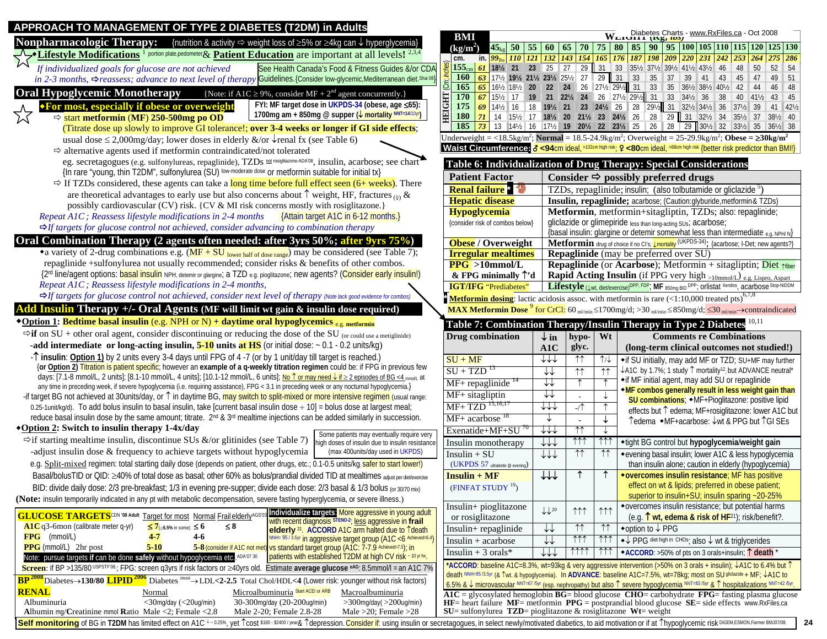| APPROACH TO MANAGEMENT OF TYPE 2 DIABETES (T2DM) in Adults                                                                                                                                                                                                                                                                                         |                                                                        |                                    |                                       |                              |                                                                                                                                                                                                                                                                                                                                                            |
|----------------------------------------------------------------------------------------------------------------------------------------------------------------------------------------------------------------------------------------------------------------------------------------------------------------------------------------------------|------------------------------------------------------------------------|------------------------------------|---------------------------------------|------------------------------|------------------------------------------------------------------------------------------------------------------------------------------------------------------------------------------------------------------------------------------------------------------------------------------------------------------------------------------------------------|
| <b>Nonpharmacologic Therapy:</b> {nutrition & activity $\Rightarrow$ weight loss of $\geq$ 5% or $\geq$ 4kg can $\downarrow$ hyperglycemia}                                                                                                                                                                                                        | <b>BMI</b>                                                             |                                    |                                       |                              | $\overline{W}_{\text{L4} \text{L1}}$ Diabetes Charts - www.RxFiles.ca - Oct 2008                                                                                                                                                                                                                                                                           |
| $\blacktriangleright$ Lifestyle Modifications <sup>1</sup> portion plate.pedometer & Patient Education are important at all levels! <sup>2,3,4</sup>                                                                                                                                                                                               | $(kg/m^2)$                                                             |                                    |                                       |                              | $\left  45_{\text{kg}} \right  50 \left  55 \left  60 \right  65 \left  70 \right  75 \left  80 \right  85 \left  90 \right  95 \left  100 \right  105 \left  110 \right  115 \left  120 \right  125 \left  130 \right $                                                                                                                                   |
| See Health Canada's Food & Fitness Guides &/or CDA<br>If individualized goals for glucose are not achieved                                                                                                                                                                                                                                         | cm.                                                                    |                                    |                                       |                              | in. $99_{\text{lbs}}$ 110 121 132 143 154 165 176 187 198 209 220 231 242 253 264 275 286<br>$155_{cm}$ 61 18 <sup>1</sup> / <sub>21</sub> 23 25 27 29 31 33 35 <sup>1</sup> / <sub>2</sub> 37 <sup>1</sup> / <sub>2</sub> 39 <sup>1</sup> / <sub>2</sub> 41 <sup>1</sup> / <sub>2</sub> 43 <sup>1</sup> / <sub>2</sub> 44 <sup>8</sup> 50<br>$52 \mid 54$ |
| in 2-3 months, $\Rightarrow$ reassess; advance to next level of therapy Guidelines. {Consider low-glycemic, Mediterranean diet. Shai 08]                                                                                                                                                                                                           | <b>160</b>                                                             |                                    |                                       |                              | 63 17 <sup>1</sup> / <sub>2</sub> 19 <sup>1</sup> / <sub>2</sub> 21 <sup>1</sup> / <sub>2</sub> 23 <sup>1</sup> / <sub>2</sub> 25 <sup>1</sup> / <sub>2</sub> 27 29 31 33 35 37 39 41 43 45 47<br>49 51                                                                                                                                                    |
|                                                                                                                                                                                                                                                                                                                                                    | (m;nc)<br><b>165</b>                                                   |                                    |                                       |                              | 65 161/2 181/2 20 22 24 26 271/2 291/2 31 33 35 361/2 381/2 401/2 42 44<br>46 48                                                                                                                                                                                                                                                                           |
| <b>Oral Hypoglycemic Monotherapy</b><br>{Note: if A1C $\geq$ 9%, consider MF + 2 <sup>nd</sup> agent concurrently.}                                                                                                                                                                                                                                | <b>HEIGHT</b><br><b>170</b>                                            |                                    |                                       |                              | $40 \t 41\frac{1}{2}$<br>43 45                                                                                                                                                                                                                                                                                                                             |
| FYI: MF target dose in UKPDS-34 (obese, age ≤65):<br><b>*For most, especially if obese or overweight</b>                                                                                                                                                                                                                                           | 175<br>69                                                              |                                    |                                       |                              | 14½ 16 18 19½ 21 23 24½ 26 28 29½ 31 32½ 34½ 36 37½ 39<br>41 421/2                                                                                                                                                                                                                                                                                         |
| 1700mg am + 850mg @ supper (↓ mortality NNT=14/10yr)<br>$\Rightarrow$ start metformin (MF) 250-500mg po OD                                                                                                                                                                                                                                         | <b>180</b>                                                             |                                    |                                       |                              | 71 14 15 17 18 20 21 23 24 26 28 29 31 32 1 35 1 37 38 10                                                                                                                                                                                                                                                                                                  |
| (Titrate dose up slowly to improve GI tolerance!; over 3-4 weeks or longer if GI side effects;                                                                                                                                                                                                                                                     | 185                                                                    |                                    |                                       |                              | 73   13 14½   16   17½   19   20½   22   23½   25   26   28   29   30½   32   33½   35   36½   38                                                                                                                                                                                                                                                          |
| usual dose $\leq$ 2,000mg/day; lower doses in elderly &/or $\sqrt{\ }$ renal fx (see Table 6)                                                                                                                                                                                                                                                      |                                                                        |                                    |                                       |                              | Underweight = <18.5kg/m <sup>2</sup> ; Normal = 18.5-24.9kg/m <sup>2</sup> ; Overweight = 25-29.9kg/m <sup>2</sup> ; Obese = $\geq 30$ kg/m <sup>2</sup>                                                                                                                                                                                                   |
| $\Rightarrow$ alternative agents used if metformin contraindicated/not tolerated                                                                                                                                                                                                                                                                   |                                                                        |                                    |                                       |                              | <b>Waist Circumference: <math>\delta</math> &lt;94cm ideal,</b> >102cm high risk; $\Omega$ <80cm ideal, >88cm high risk {better risk predictor than BMI!}                                                                                                                                                                                                  |
| eg. secretagogues (e.g. sulfonylureas, repaglinide), TZDs not rosiglitazone ADA08, insulin, acarbose; see chart                                                                                                                                                                                                                                    |                                                                        |                                    |                                       |                              | Table 6: Individualization of Drug Therapy: Special Considerations                                                                                                                                                                                                                                                                                         |
| {In rare "young, thin T2DM", sulfonylurea (SU) low-moderate dose or metformin suitable for initial tx}                                                                                                                                                                                                                                             | <b>Patient Factor</b>                                                  |                                    |                                       |                              | Consider $\Rightarrow$ possibly preferred drugs                                                                                                                                                                                                                                                                                                            |
| $\Rightarrow$ If TZDs considered, these agents can take a long time before full effect seen (6+ weeks). There                                                                                                                                                                                                                                      | <b>Renal failure</b> *                                                 |                                    |                                       |                              | TZDs, repaglinide; insulin; (also tolbutamide or gliclazide <sup>5</sup> )                                                                                                                                                                                                                                                                                 |
| are theoretical advantages to early use but also concerns about $\uparrow$ weight, HF, fractures (9) &                                                                                                                                                                                                                                             | <b>Hepatic disease</b>                                                 |                                    |                                       |                              | Insulin, repaglinide; acarbose; (Caution: glyburide, metformin & TZDs)                                                                                                                                                                                                                                                                                     |
| possibly cardiovascular (CV) risk. {CV & MI risk concerns mostly with rosiglitazone.}                                                                                                                                                                                                                                                              | <b>Hypoglycemia</b>                                                    |                                    |                                       |                              | Metformin, metformin+sitagliptin, TZDs; also: repaglinide;                                                                                                                                                                                                                                                                                                 |
| Repeat A1C; Reassess lifestyle modifications in 2-4 months<br>{Attain target A1C in 6-12 months.}                                                                                                                                                                                                                                                  | {consider risk of combos below}                                        |                                    |                                       |                              | gliclazide or glimepiride less than long-acting SUs; acarbose;                                                                                                                                                                                                                                                                                             |
| $\Rightarrow$ If targets for glucose control not achieved, consider advancing to combination therapy                                                                                                                                                                                                                                               |                                                                        |                                    |                                       |                              | {basal insulin: glargine or detemir somewhat less than intermediate e.g. NPH/N}                                                                                                                                                                                                                                                                            |
| Oral Combination Therapy (2 agents often needed: after 3yrs 50%; after 9yrs 75%)                                                                                                                                                                                                                                                                   | Obese / Overweight                                                     |                                    |                                       |                              | Metformin drug of choice if no Cl's; <b>Umortality</b> (UKPDS-34); {acarbose; I-Det; new agents?}                                                                                                                                                                                                                                                          |
| • a variety of 2-drug combinations e.g. $(MF + SU_{lower half of dose range})$ may be considered (see Table 7);                                                                                                                                                                                                                                    | <b>Irregular mealtimes</b>                                             |                                    |                                       |                              | <b>Repaglinide</b> (may be preferred over SU)                                                                                                                                                                                                                                                                                                              |
| repaglinide +sulfonylurea not usually recommended; consider risks & benefits of other combos.                                                                                                                                                                                                                                                      | $PPG > 10$ mmol/L                                                      |                                    |                                       |                              | <b>Repaglinide</b> (or <b>Acarbose</b> ); Metformin + sitagliptin; Diet $\gamma$ fiber                                                                                                                                                                                                                                                                     |
| {2 <sup>rd</sup> line/agent options: basal insulin NPH, detemir or glargine; a TZD e.g. pioglitazone; new agents? (Consider early insulin!)                                                                                                                                                                                                        | $&$ FPG minimally $\uparrow$ 'd                                        |                                    |                                       |                              | Rapid Acting Insulin (if PPG very high >10mmol/L) e.g. Lispro, Aspart                                                                                                                                                                                                                                                                                      |
| Repeat A1C; Reassess lifestyle modifications in 2-4 months,                                                                                                                                                                                                                                                                                        | <b>IGT/IFG</b> "Prediabetes"                                           |                                    |                                       |                              | Lifestyle (Jwt, diet/exercise) <sup>DPP, FDP</sup> ; MF 850mg BID <sup>DPP</sup> ; Orlistat Xendos, acarbose Stop-NIDDM                                                                                                                                                                                                                                    |
| $\Rightarrow$ If targets for glucose control not achieved, consider next level of therapy (Note lack good evidence for combos)                                                                                                                                                                                                                     |                                                                        |                                    |                                       |                              | Metformin dosing: lactic acidosis assoc. with metformin is rare (<1:10,000 treated pts) <sup>6,7,8</sup>                                                                                                                                                                                                                                                   |
| Add Insulin Therapy +/- Oral Agents (MF will limit wt gain & insulin dose required)                                                                                                                                                                                                                                                                |                                                                        |                                    |                                       |                              | <b>MAX Metformin Dose</b> $^{9}$ for CrCl: 60 ml/min $\leq$ 1700mg/d; $>$ 30 ml/min $\leq$ 850mg/d; $\leq$ 30 ml/min $\rightarrow$ contraindicated                                                                                                                                                                                                         |
| *Option 1: Bedtime basal insulin (e.g. NPH or N) + daytime oral hypoglycemics e.g. metformin                                                                                                                                                                                                                                                       |                                                                        |                                    |                                       |                              |                                                                                                                                                                                                                                                                                                                                                            |
|                                                                                                                                                                                                                                                                                                                                                    |                                                                        |                                    |                                       |                              |                                                                                                                                                                                                                                                                                                                                                            |
| $\Rightarrow$ if on SU + other oral agent, consider discontinuing or reducing the dose of the SU (or could use a metiglinide)                                                                                                                                                                                                                      |                                                                        |                                    |                                       |                              | Table 7: Combination Therapy/Insulin Therapy in Type 2 Diabetes                                                                                                                                                                                                                                                                                            |
| <b>-add intermediate or long-acting insulin, <math>\frac{5-10}{10}</math> units at HS</b> (or initial dose: $\sim 0.1 - 0.2$ units/kg)                                                                                                                                                                                                             | <b>Drug</b> combination                                                | $\downarrow$ in                    | hypo-                                 | Wt                           | <b>Comments re Combinations</b>                                                                                                                                                                                                                                                                                                                            |
| -T insulin: Option 1) by 2 units every 3-4 days until FPG of 4-7 (or by 1 unit/day till target is reached.)                                                                                                                                                                                                                                        |                                                                        | A1C                                | glyc.                                 |                              | (long-term clinical outcomes not studied!)                                                                                                                                                                                                                                                                                                                 |
| {or Option 2) Titration is patient specific; however an example of a q-weekly titration regimen could be: if FPG in previous few                                                                                                                                                                                                                   | $SU + MF$                                                              | ↓↓↓                                | $\uparrow\uparrow$                    | $\uparrow \downarrow$        | • if SU initially, may add MF or TZD; SU+MF may further                                                                                                                                                                                                                                                                                                    |
| days: [7.1-8 mmol/L, 2 units]; [8.1-10 mmol/L, 4 units]; [10.1-12 mmol/L, 6 units]; No $\uparrow$ or may need $\downarrow$ if $\geq$ 2 episodes of BG <4 mmolt. at                                                                                                                                                                                 | $SU + TZD$ <sup>13</sup>                                               | $\downarrow\downarrow$             | $\uparrow \uparrow$                   | $\uparrow\uparrow$           | ↓A1C by 1.7%; 1 study 1 mortality <sup>12</sup> , but ADVANCE neutral*<br>• if MF initial agent, may add SU or repaglinide                                                                                                                                                                                                                                 |
| any time in preceding week, if severe hypoglycemia (i.e. requiring assistance), FPG < 3.1 in preceding week or any nocturnal hypoglycemia.}                                                                                                                                                                                                        | $MF+$ repaglinide $14$                                                 | ↓↓                                 |                                       |                              | *MF combos generally result in less weight gain than                                                                                                                                                                                                                                                                                                       |
| -if target BG not achieved at 30units/day, or 1 in daytime BG, may switch to split-mixed or more intensive regimen (usual range:                                                                                                                                                                                                                   | MF+ sitagliptin                                                        | ↓↓                                 |                                       |                              | SU combinations; $\bullet$ MF+Pioglitazone: positive lipid                                                                                                                                                                                                                                                                                                 |
| 0.25-1unit/kg/d). To add bolus insulin to basal insulin, take [current basal insulin dose ÷ 10] = bolus dose at largest meal;                                                                                                                                                                                                                      | MF+ TZD 15,16,17                                                       | ↓↓↓                                | $-$ /↑                                |                              | effects but 1 edema; MF+rosiglitazone: lower A1C but                                                                                                                                                                                                                                                                                                       |
| reduce basal insulin dose by the same amount; titrate. 2 <sup>nd</sup> & 3 <sup>rd</sup> mealtime injections can be added similarly in succession.                                                                                                                                                                                                 | $MF+$ acarbose $^{18}$                                                 |                                    |                                       |                              | ↑ edema • MF+acarbose: ↓wt & PPG but ↑ GISEs                                                                                                                                                                                                                                                                                                               |
| *Option 2: Switch to insulin therapy 1-4x/day<br>Some patients may eventually require very                                                                                                                                                                                                                                                         | Exenatide+MF+SU                                                        | ↓↓↓                                | ↑↑                                    |                              |                                                                                                                                                                                                                                                                                                                                                            |
| $\Rightarrow$ if starting mealtime insulin, discontinue SUs &/or glitinides (see Table 7)<br>high doses of insulin due to insulin resistance                                                                                                                                                                                                       | Insulin monotherapy                                                    | $\downarrow\downarrow\downarrow$   | $\uparrow \uparrow \uparrow$          | $\uparrow\uparrow\uparrow$   | ◆ tight BG control but hypoglycemia/weight gain                                                                                                                                                                                                                                                                                                            |
| (max 400units/day used in UKPDS)<br>-adjust insulin dose & frequency to achieve targets without hypoglycemia                                                                                                                                                                                                                                       | $Insulin + SU$                                                         | $\downarrow\downarrow\downarrow$   | $\uparrow \uparrow$                   | ↑↑                           | ◆ evening basal insulin; lower A1C & less hypoglycemia                                                                                                                                                                                                                                                                                                     |
| e.g. Split-mixed regimen: total starting daily dose (depends on patient, other drugs, etc.; 0.1-0.5 units/kg safer to start lower!)                                                                                                                                                                                                                | (UKPDS 57 ultralente @ evening)                                        |                                    |                                       |                              | than insulin alone; caution in elderly (hypoglycemia)                                                                                                                                                                                                                                                                                                      |
| Basal/bolusTID or QID: ≥40% of total dose as basal; other 60% as bolus/prandial divided TID at mealtimes adjust per dielexercise                                                                                                                                                                                                                   | $Insulin + MF$                                                         | $+ +$                              | $\uparrow$                            |                              | *overcomes insulin resistance; MF has positive                                                                                                                                                                                                                                                                                                             |
| BID: divide daily dose: 2/3 pre-breakfast; 1/3 in evening pre-supper; divide each dose: 2/3 basal & 1/3 bolus (or 30/70 mix)                                                                                                                                                                                                                       | (FINFAT STUDY $19$ )                                                   |                                    |                                       |                              | effect on wt & lipids; preferred in obese patient;                                                                                                                                                                                                                                                                                                         |
| (Note: insulin temporarily indicated in any pt with metabolic decompensation, severe fasting hyperglycemia, or severe illness.)                                                                                                                                                                                                                    |                                                                        |                                    |                                       |                              | superior to insulin+SU; insulin sparing ~20-25%                                                                                                                                                                                                                                                                                                            |
| Individualize targets: More aggressive in young adult                                                                                                                                                                                                                                                                                              | Insulin+ pioglitazone                                                  | $\downarrow\downarrow^{20}$        | 111                                   | $\uparrow \uparrow \uparrow$ | *overcomes insulin resistance; but potential harms                                                                                                                                                                                                                                                                                                         |
| <b>GLUCOSE TARGETS</b> <sup>CDN</sup> '08 Adult Target for most Normal Frail elderlyAGS<br>with recent diagnosis STENO-2; less aggressive in frail<br>A1C q3-6mon (calibrate meter q-yr)<br>$\leq 7$ (<6.5% in some) $\leq 6$<br>$\leq 8$                                                                                                          | or rosiglitazone                                                       |                                    | ↑↑                                    |                              | (e.g. $\uparrow$ wt, edema & risk of HF <sup>21</sup> ); risk/benefit?.                                                                                                                                                                                                                                                                                    |
| elderly 31. ACCORD A1C arm halted due to Tdeath<br>FPG (mmol/L)<br>$4 - 7$<br>4-6<br>NNH= 95/3.5yr in aggressive target group (A1C <6 Achieved=6.4)                                                                                                                                                                                                | Insulin+ repaglinide                                                   | ↓↑                                 |                                       | $\uparrow \uparrow$          | ◆option to ↓ PPG                                                                                                                                                                                                                                                                                                                                           |
| <b>PPG</b> (mmol/L) 2hr post<br>$5 - 10$<br>5-8 (consider if A1C not met) vs standard target group (A1C: 7-7.9 Achieved=7.5); in                                                                                                                                                                                                                   | $Insulin + acarbose$                                                   | $\downarrow\downarrow$             | $\uparrow \uparrow \uparrow$          | $\uparrow \uparrow \uparrow$ | ◆↓ PPG diet high in CHOs; also ↓ wt & triglycerides                                                                                                                                                                                                                                                                                                        |
| patients with established T2DM at high CV risk - 10 yr hx.<br>Note: pursue targets if can be done safely without hypoglycemia etc. ADA'07 30                                                                                                                                                                                                       | Insulin + 3 orals*                                                     | $\downarrow \downarrow \downarrow$ | $\uparrow \uparrow \uparrow \uparrow$ | $\uparrow \uparrow \uparrow$ | ◆ACCORD: >50% of pts on 3 orals+insulin; 1 death *                                                                                                                                                                                                                                                                                                         |
| Screen: if BP >135/80 USPSTF08.; FPG: screen q3yrs if risk factors or ≥40yrs old. Estimate average glucose eAG: 8.5mmol/l = an A1C 7%                                                                                                                                                                                                              |                                                                        |                                    |                                       |                              | *ACCORD: baseline A1C=8.3%, wt=93kg & very aggressive intervention (>50% on 3 orals + insulin); ↓A1C to 6.4% but ↑                                                                                                                                                                                                                                         |
| $BP^{2008}$ Diabetes $\rightarrow$ 130/80 LIPID <sup>2006</sup> Diabetes most $\rightarrow$ LDL<2-2.5 Total Chol/HDL<4 (Lower risk: younger without risk factors)                                                                                                                                                                                  |                                                                        |                                    |                                       |                              | death NNH=95 /3.5yr (& ↑wt. & hypoglycemia). In ADVANCE: baseline A1C=7.5%, wt=78kg; most on SU gliclazide + MF; ↓A1C to<br>6.5% & + microvascular NNT-67/5yr (esp. nephropathy) but also 1 severe hypoglycemia NNT-83/5yr & 1 hospitalizations NNT-42/5yr                                                                                                 |
| <b>RENAL</b><br>Microalbuminuria Start ACEI or ARB<br>Macroalbuminuria<br>Normal                                                                                                                                                                                                                                                                   |                                                                        |                                    |                                       |                              | $AIC =$ glycosylated hemoglobin $BG =$ blood glucose $CHO =$ carbohydrate $FPG =$ fasting plasma glucose                                                                                                                                                                                                                                                   |
| $<$ 30mg/day ( $<$ 20ug/min)<br>Albuminuria<br>30-300mg/day (20-200ug/min)<br>$>$ 300mg/day( $>$ 200ug/min)                                                                                                                                                                                                                                        |                                                                        |                                    |                                       |                              | $HF =$ heart failure $MF =$ metformin $PPG =$ postprandial blood glucose $SE =$ side effects www.RxFiles.ca                                                                                                                                                                                                                                                |
| Albumin mg/Creatinine mmol Ratio Male <2; Female <2.8<br>Male 2-20; Female 2.8-28<br>Male $>20$ ; Female $>28$<br>Self monitoring of BG in T2DM has limited effect on A1C V-0.25%, yet Tcost \$160-\$2400/year& Tdepression. Consider if: using insulin or secretagogues, in select newly/motivated diabetics, to aid motivation or if at Thypogly | $SU =$ sulfonylurea $TZD =$ pioglitazone & rosiglitazone $Wt =$ weight |                                    |                                       |                              |                                                                                                                                                                                                                                                                                                                                                            |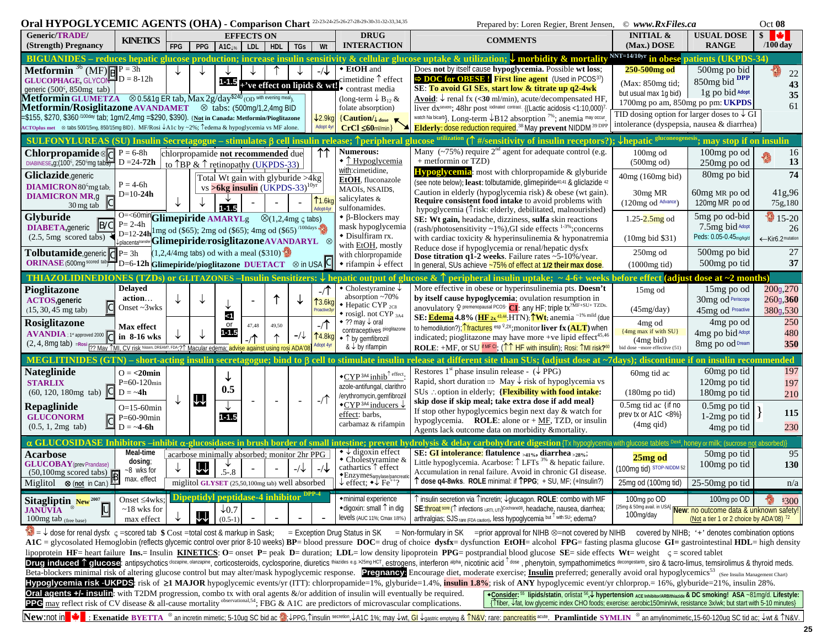| Oral HYPOGLYCEMIC AGENTS (OHA) - Comparison Chart 22-23-24-25-26-27-28-29-30-31-32-33,34,35                                                                                                                                                                                                                                                                                                                                                                                                                                                                                          |                                                                                                                                                                                                                                                                                                                                                                                                                                                                                                                                                                                                                                                                                                                                                                                                                                                                                                                                                                                                                                                                                                                                                                                                                                                                                                                                                                                                                                  |            |     |                                                                                                                                 |       |       |             |                                                          |                                                                                                                                                                                                                                         | $\circ$ www.RxFiles.ca<br>Prepared by: Loren Regier, Brent Jensen,                                                                                                                                                                                                                                                                                                                                                                                                                                                                                                                                                                                                                                                       |                                                                                                                                                                                                                              |                                                                                                   |                                                            |  |
|--------------------------------------------------------------------------------------------------------------------------------------------------------------------------------------------------------------------------------------------------------------------------------------------------------------------------------------------------------------------------------------------------------------------------------------------------------------------------------------------------------------------------------------------------------------------------------------|----------------------------------------------------------------------------------------------------------------------------------------------------------------------------------------------------------------------------------------------------------------------------------------------------------------------------------------------------------------------------------------------------------------------------------------------------------------------------------------------------------------------------------------------------------------------------------------------------------------------------------------------------------------------------------------------------------------------------------------------------------------------------------------------------------------------------------------------------------------------------------------------------------------------------------------------------------------------------------------------------------------------------------------------------------------------------------------------------------------------------------------------------------------------------------------------------------------------------------------------------------------------------------------------------------------------------------------------------------------------------------------------------------------------------------|------------|-----|---------------------------------------------------------------------------------------------------------------------------------|-------|-------|-------------|----------------------------------------------------------|-----------------------------------------------------------------------------------------------------------------------------------------------------------------------------------------------------------------------------------------|--------------------------------------------------------------------------------------------------------------------------------------------------------------------------------------------------------------------------------------------------------------------------------------------------------------------------------------------------------------------------------------------------------------------------------------------------------------------------------------------------------------------------------------------------------------------------------------------------------------------------------------------------------------------------------------------------------------------------|------------------------------------------------------------------------------------------------------------------------------------------------------------------------------------------------------------------------------|---------------------------------------------------------------------------------------------------|------------------------------------------------------------|--|
| <b>Generic/TRADE/</b><br>(Strength) Pregnancy                                                                                                                                                                                                                                                                                                                                                                                                                                                                                                                                        | <b>KINETICS</b>                                                                                                                                                                                                                                                                                                                                                                                                                                                                                                                                                                                                                                                                                                                                                                                                                                                                                                                                                                                                                                                                                                                                                                                                                                                                                                                                                                                                                  | <b>FPG</b> | PPG | <b>EFFECTS ON</b><br>$A1C_{1%}$                                                                                                 | LDL   | HDL   | TGs         | Wt                                                       | <b>DRUG</b><br><b>INTERACTION</b>                                                                                                                                                                                                       | <b>COMMENTS</b>                                                                                                                                                                                                                                                                                                                                                                                                                                                                                                                                                                                                                                                                                                          | <b>INITIAL &amp;</b><br>(Max.) DOSE                                                                                                                                                                                          | <b>USUAL DOSE</b><br><b>RANGE</b>                                                                 | $s \rightarrow$<br>$/100$ day                              |  |
| <b>Metformin</b> <sup>36</sup> (MF) $\overline{R}$ $P = 3h$<br><b>GLUCOPHAGE, GLYCON-D</b> = $8-12h$<br>generic $(500^{\circ}, 850$ mg tab)<br><b>Metformin GLUMETZA</b> $\otimes$ 0.5&1g ER tab, Max 2g/day <sup>\$240</sup> (OD with evening meal <sub>)</sub><br><b>Metformin/Rosiglitazone AVANDAMET</b>   $\otimes$ tabs: (500mg/1,2,4mg BID)<br>=\$155, \$270, \$360 <sup>/100day</sup> tab; 1gm/2,4mg =\$290, \$390). { <u>Not</u> in Canada: Metformin/Pioglitazone<br>ACTOplus met, ⊗ tabs 500/15mg, 850/15mg BID}. MF/Rosi ↓A1c by ~2%; Tedema & hypoglycemia vs MF alone. |                                                                                                                                                                                                                                                                                                                                                                                                                                                                                                                                                                                                                                                                                                                                                                                                                                                                                                                                                                                                                                                                                                                                                                                                                                                                                                                                                                                                                                  |            |     | 1-1.5 + ve effect on lipids $\&$ wt!                                                                                            |       |       |             | $\downarrow$ 2.9kg<br>Adopt 4y                           | ◆ EtOH and<br>cimetidine $\uparrow$ effect<br>contrast media<br>(long-term $\downarrow$ B <sub>12</sub> &<br>folate absorption)<br>${C$ aution/ $\downarrow$ <sub>dose</sub><br>$CrCl \leq 60$ ml/min                                   | <b>BIGUANIDES</b> – reduces hepatic glucose production; increase insulin sensitivity & cellular glucose uptake & utilization; $\vee$ morbidity<br>& mortalit<br>Does not by itself cause hypoglycemia. Possible wt loss;<br>$\Rightarrow$ DOC for OBESE! First line agent (Used in PCOS37)<br>SE: To avoid GI SEs, start low & titrate up q2-4wk<br><b>Avoid:</b> $\downarrow$ renal fx (<30 ml/min), acute/decompensated HF,<br>liver dx <sup>severe</sup> ; 48hr post iodinated contrast. {(Lactic acidosis <1:10,000) <sup>7</sup><br>watch Na bicarb}. Long-term $\downarrow$ B12 absorption <sup>7%</sup> ; anemia may occur<br>Elderly: dose reduction required. <sup>38</sup> May prevent NIDDM <sup>39 DPF</sup> | NNT=14/10yr in obese<br>250-500mg od<br>(Max: 850mg tid;<br>but usual max 1q bid)<br>1700mg po am, 850mg po pm: UKPDS<br>TID dosing option for larger doses to $\downarrow$ GI<br>intolerance (dyspepsia, nausea & diarrhea) | atients (UKPDS-34)<br>500mg po bid<br>850mg bid DPP<br>1g po bid Adopt                            | 22<br>43<br>35<br>61                                       |  |
|                                                                                                                                                                                                                                                                                                                                                                                                                                                                                                                                                                                      |                                                                                                                                                                                                                                                                                                                                                                                                                                                                                                                                                                                                                                                                                                                                                                                                                                                                                                                                                                                                                                                                                                                                                                                                                                                                                                                                                                                                                                  |            |     |                                                                                                                                 |       |       |             |                                                          |                                                                                                                                                                                                                                         | SULFONYLUREAS (SU) Insulin Secretagogue – stimulates $\beta$ cell insulin release; $\hat{\uparrow}$ peripheral glucose utilization ( $\hat{\uparrow}$ #/sensitivity of insulin receptors?);                                                                                                                                                                                                                                                                                                                                                                                                                                                                                                                              | hepatic gluconeogenes                                                                                                                                                                                                        | may stop if on insulin                                                                            |                                                            |  |
| <b>Chlorpropamide</b> $\mathbb{E}$ P = 6-8h<br>DIABINESE, g; (100 <sup>s</sup> , 250 <sup>s</sup> mg tab $\overline{57}$ D = 24-72h<br>Gliclazide, generic<br><b>DIAMICRON</b> 80 <sup>c</sup> mg tab;                                                                                                                                                                                                                                                                                                                                                                               | $P = 4-6h$                                                                                                                                                                                                                                                                                                                                                                                                                                                                                                                                                                                                                                                                                                                                                                                                                                                                                                                                                                                                                                                                                                                                                                                                                                                                                                                                                                                                                       |            |     | chlorpropamide not recommended due<br>to $\uparrow$ BP & $\uparrow$ retinopathy (UKPDS-33)<br>Total Wt gain with glyburide >4kg |       |       |             | 11                                                       | <b>Numerous:</b><br>$\bullet$ T Hypoglycemia<br>with:cimetidine,<br>EtOH, fluconazole                                                                                                                                                   | Many $({\sim}75\%)$ require $2nd$ agent for adequate control (e.g.<br>+ metformin or TZD)<br>Hypoglycemia: most with chlorpropamide & glyburide<br>(see note below); least: tolbutamide, glimepiride <sup>40,41</sup> & gliclazide <sup>42</sup>                                                                                                                                                                                                                                                                                                                                                                                                                                                                         | $100mg$ od<br>(500mg od)<br>40mg (160mg bid)                                                                                                                                                                                 | 100mg po od<br>250mg po od<br>80mg po bid                                                         | 16<br>13<br>74                                             |  |
| <b>DIAMICRON MR,g</b><br>$30 \,\mathrm{mg}$ tab                                                                                                                                                                                                                                                                                                                                                                                                                                                                                                                                      | $D=10-24h$                                                                                                                                                                                                                                                                                                                                                                                                                                                                                                                                                                                                                                                                                                                                                                                                                                                                                                                                                                                                                                                                                                                                                                                                                                                                                                                                                                                                                       |            |     | $\text{vs} > 6\text{kg}$ insulin (UKPDS-33) <sup>10yr</sup>                                                                     |       |       |             | $\uparrow$ 1.6kg<br>Adopt 4y                             | MAOIs, NSAIDS,<br>salicylates &<br>sulfonamides.                                                                                                                                                                                        | Caution in elderly (hypoglycemia risk) & obese (wt gain).<br>Require consistent food intake to avoid problems with<br>hypoglycemia (Trisk: elderly, debilitated, malnourished)                                                                                                                                                                                                                                                                                                                                                                                                                                                                                                                                           | 30 <sub>mg</sub> MR<br>(120mg od Advance)                                                                                                                                                                                    | 60mg MR po od<br>120mg MR po od                                                                   | 41g,96<br>75g,180                                          |  |
| Glyburide<br><b>DIABETA, generic B/C</b><br>$(2.5, 5mg$ scored tabs)                                                                                                                                                                                                                                                                                                                                                                                                                                                                                                                 | O=<60min Glimepiride AMARYLg, $\otimes$ (1,2,4mg $\varsigma$ tabs)<br>$P = 2-4h$<br>$D=12-24h$ l mg od (\$65); 2mg od (\$65); 4mg od (\$65) <sup>/100days</sup>                                                                                                                                                                                                                                                                                                                                                                                                                                                                                                                                                                                                                                                                                                                                                                                                                                                                                                                                                                                                                                                                                                                                                                                                                                                                  |            |     |                                                                                                                                 |       |       |             |                                                          | $\bullet$ $\beta$ -Blockers may<br>mask hypoglycemia<br>• Disulfiram rx.                                                                                                                                                                | SE: Wt gain, headache, dizziness, sulfa skin reactions<br>$(rash/photosensitivity \sim 1\%)$ , GI side effects $1-3\%$ ; concerns<br>with cardiac toxicity & hyperinsulinemia & hyponatremia                                                                                                                                                                                                                                                                                                                                                                                                                                                                                                                             | $1.25 - 2.5mg$ od                                                                                                                                                                                                            | 5mg po od-bid<br>7.5mg bid Adopt<br>Peds: 0.05-0.45 <sub>mg/kg/d</sub>                            | $15-20$<br>26<br>←Kir6.2 <sup>mutation</sup>               |  |
| <b>Tolbutamide</b> , generic $  \mathbf{C}  _1 = 3h$<br>ORINASE (500mg scored tab)                                                                                                                                                                                                                                                                                                                                                                                                                                                                                                   | placentatansier <b>Glimepiride/rosiglitazoneAVANDARYL</b> , $\otimes$<br>$\mathbf{C}^{\text{d}}$ D=6-12h Glimepiride/pioglitazone DUETACT, $\otimes$ in USA $\mathbf{C}$                                                                                                                                                                                                                                                                                                                                                                                                                                                                                                                                                                                                                                                                                                                                                                                                                                                                                                                                                                                                                                                                                                                                                                                                                                                         |            |     | $(1,2,4/4\text{mg}$ tabs) od with a meal (\$310)                                                                                |       |       |             |                                                          | with EtOH, mostly<br>with chlorpropamide<br>$\bullet$ rifampin $\downarrow$ effect                                                                                                                                                      | Reduce dose if hypoglycemia or renal/hepatic dysfx<br>Dose titration $q1-2$ weeks. Failure rates ~5-10%/year.<br>In general, SUs achieve ~75% of effect at 1/2 their max dose.                                                                                                                                                                                                                                                                                                                                                                                                                                                                                                                                           | (10mg bid \$31)<br>$250$ mg od                                                                                                                                                                                               | 500mg po bid<br>500mg po tid                                                                      | 27<br>37                                                   |  |
| <b>THIAZOLIDINEDIONES (TZDs) or GLITAZONES - Insulin Sensitizers:</b>                                                                                                                                                                                                                                                                                                                                                                                                                                                                                                                |                                                                                                                                                                                                                                                                                                                                                                                                                                                                                                                                                                                                                                                                                                                                                                                                                                                                                                                                                                                                                                                                                                                                                                                                                                                                                                                                                                                                                                  |            |     |                                                                                                                                 |       |       |             |                                                          |                                                                                                                                                                                                                                         | patic output of glucose & $\hat{\uparrow}$ peripheral insulin uptake; $\sim$ 4-6+ weeks before effect (adjust dose at ~2 months)                                                                                                                                                                                                                                                                                                                                                                                                                                                                                                                                                                                         | $(1000mg$ tid)                                                                                                                                                                                                               |                                                                                                   |                                                            |  |
| Pioglitazone<br><b>ACTOS, generic</b><br>$(15, 30, 45 \text{ mg tab})$<br>Rosiglitazone<br>AVANDIA : 1st approved 2000 C                                                                                                                                                                                                                                                                                                                                                                                                                                                             | Delayed<br>action<br>Onset $\sim$ 3wks<br><b>Max</b> effect<br>in 8-16 wks                                                                                                                                                                                                                                                                                                                                                                                                                                                                                                                                                                                                                                                                                                                                                                                                                                                                                                                                                                                                                                                                                                                                                                                                                                                                                                                                                       |            |     | $\leq$ 1<br>or<br>$1 - 1.5$                                                                                                     | 47,48 | 49,50 | $-\sqrt{2}$ | T <sub>3.6</sub> ko<br><b>Proactive</b><br><b>14.8kg</b> | • Cholestyramine $\downarrow$<br>absorption $\sim 70\%$<br>$\bullet$ Hepatic CYP $_{2}$ cs<br>$\bullet$ rosigl. not CYP $_{3A4}$<br>◆ ?? may ↓ oral<br>contraceptives pioglitazone<br>◆ ↑ by gemfibrozil                                | More effective in obese or hyperinsulinemia pts. Doesn't<br>by itself cause hypoglycemia; ovulation resumption in<br>anovulatory 9 premenopausal PCOS: CI: any HF; triple tx <sup>2MF+SU+</sup> TZDs.<br>SE: <b>Edema</b> 4.8% (HF $2x^{43.44}$ , HTN); TWt; anemia <sup>~1% mild</sup> (due<br>to hemodilution?); Tractures esp ?,2x; monitor liver fx (ALT) when<br>indicated; pioglitazone may have more +ve lipid effect <sup>45,46</sup>                                                                                                                                                                                                                                                                            | 15 <sub>mg</sub> od<br>(45mg/day)<br>4 <sub>mg</sub> od<br>{4mg max if with SU}                                                                                                                                              | 15 <sub>mg</sub> po od<br>30mg od Periscope<br>45mg od Proactive<br>4mg po od<br>4mg po bid Adopt | 200g <sub>270</sub><br>260g, 360<br>380g,530<br>250<br>480 |  |
| (2, 4, 8mg tab) = Rosi 7? May 1MI, CV risk Nissen, DREAM?, FDA; 21 Macular                                                                                                                                                                                                                                                                                                                                                                                                                                                                                                           |                                                                                                                                                                                                                                                                                                                                                                                                                                                                                                                                                                                                                                                                                                                                                                                                                                                                                                                                                                                                                                                                                                                                                                                                                                                                                                                                                                                                                                  |            |     | ema: advise against using rosi ADA                                                                                              |       |       |             |                                                          | & $\downarrow$ by rifampin                                                                                                                                                                                                              | <b>ROLE:</b> +MF, or SU $^{\text{if MF G}}$ ; ( $\uparrow \uparrow$ HF with insulin); Rosi: $\uparrow$ MI risk? <sup>6</sup>                                                                                                                                                                                                                                                                                                                                                                                                                                                                                                                                                                                             | (4mg bid)<br>bid dose ~more effective (51                                                                                                                                                                                    | 8mg po od Dream                                                                                   | 350                                                        |  |
| <b>MEGLITINIDES</b><br><b>Nateglinide</b><br>∣ h<br><b>STARLIX</b><br> C <br>$(60, 120, 180mg$ tab)<br>Repaglinide<br><b>GLUCONORM</b><br>$\overline{\mathsf{c}}$<br>$(0.5, 1, 2mg$ tab)                                                                                                                                                                                                                                                                                                                                                                                             | $Q = \langle 20 \text{min} \rangle$<br>$P=60-120$ min<br>$D = -4h$<br>$O=15-60$ min<br>$P=60-90$ min<br>$D = -4 - 6h$                                                                                                                                                                                                                                                                                                                                                                                                                                                                                                                                                                                                                                                                                                                                                                                                                                                                                                                                                                                                                                                                                                                                                                                                                                                                                                            |            | ¥   | 0.5<br>$1 - 1.5$                                                                                                                |       |       |             | $-$ / $\uparrow$                                         | $\bullet$ CYP <sup>3A4</sup> inhib <sup><math>\uparrow</math> effect</sup> :<br>azole-antifungal, clarithro<br>/erythromycin, gemfibrozil<br>$\text{CYP}$ <sup>3A4</sup> inducers $\downarrow$<br>effect: barbs,<br>carbamaz & rifampin | – short-acting insulin secretagogue; bind to β cell to stimulate insulin release at different site than SUs; (adjust dose at ~7days); discontinue if on insulin recor<br>Restores 1 <sup>st</sup> phase insulin release - $(\downarrow$ PPG)<br>Rapid, short duration $\Rightarrow$ May $\downarrow$ risk of hypoglycemia vs<br>SUs : option in elderly; {Flexibility with food intake:<br>skip dose if skip meal; take extra dose if add meal}<br>If stop other hypoglycemics begin next day $&$ watch for<br>hypoglycemia. <b>ROLE</b> : alone or $+$ <u>MF</u> , TZD, or insulin<br>Agents lack outcome data on morbidity & mortality.                                                                                | 60 <sub>mg</sub> tid ac<br>$(180mg)$ po tid)<br>$0.5$ mg tid ac {if no<br>prev tx or A1C <8% $\}$<br>$(4mg \text{ qid})$                                                                                                     | 60mg po tid<br>120mg po tid<br>180mg po tid<br>0.5mg po tid<br>$1-2mg$ po tid<br>4mg po tid       | mended<br>197<br>197<br>210<br>115<br>230                  |  |
| $\alpha$ GLU                                                                                                                                                                                                                                                                                                                                                                                                                                                                                                                                                                         |                                                                                                                                                                                                                                                                                                                                                                                                                                                                                                                                                                                                                                                                                                                                                                                                                                                                                                                                                                                                                                                                                                                                                                                                                                                                                                                                                                                                                                  |            |     |                                                                                                                                 |       |       |             |                                                          | <b>ASE Inhibitors –inhibit α-glucosidases in brush border of small intestine; prevent hy</b>                                                                                                                                            | drolvsis & delav carbohydrate digestion {Tx hypoglycemia with glucose tablets <sup>Dex4</sup> , honey or milk; (sucrose not absorbed)}                                                                                                                                                                                                                                                                                                                                                                                                                                                                                                                                                                                   |                                                                                                                                                                                                                              |                                                                                                   |                                                            |  |
| <b>Acarbose</b><br><b>GLUCOBAY</b> (prev Prandase)<br>$(50,100mg \text{ scored tabs})$<br>Miglitol, $\otimes$ (not in Can.)                                                                                                                                                                                                                                                                                                                                                                                                                                                          | Meal-time<br>dosing;<br>~8 wks for<br>max. effect                                                                                                                                                                                                                                                                                                                                                                                                                                                                                                                                                                                                                                                                                                                                                                                                                                                                                                                                                                                                                                                                                                                                                                                                                                                                                                                                                                                |            | ΨÎ  | acarbose minimally absorbed; monitor 2hr PPG<br>$.5 - .8$<br>miglitol GLYSET (25.50.100mg tab) well absorbed                    |       |       | $-\sqrt{2}$ |                                                          | $\bullet \downarrow$ digoxin effect<br>• Cholestyramine &<br>cathartics $\uparrow$ effect<br>◆ EnzymeSamylase/pancreati<br>effect: $\bullet\downarrow$ Fe <sup>++</sup> ?                                                               | SE: GI intolerance: flatulence $_{\geq 41\%}$ , diarrhea $_{\geq 28\%}$ ;<br>Little hypoglycemia. Acarbose: $\uparrow$ LFTs <sup>3%</sup> & hepatic failure.<br>Accumulation in renal failure. Avoid in chronic GI disease.<br>$\uparrow$ dose q4-8wks. ROLE minimal: if $\uparrow$ PPG; + SU, MF; (+Insulin?)                                                                                                                                                                                                                                                                                                                                                                                                           | 25mg od<br>(100mg tid) STOP-NIDDM 52<br>25mg od (100mg tid)                                                                                                                                                                  | 50mg po tid<br>100mg po tid<br>$25-50$ mg po tid                                                  | 95<br>130<br>n/a                                           |  |
|                                                                                                                                                                                                                                                                                                                                                                                                                                                                                                                                                                                      |                                                                                                                                                                                                                                                                                                                                                                                                                                                                                                                                                                                                                                                                                                                                                                                                                                                                                                                                                                                                                                                                                                                                                                                                                                                                                                                                                                                                                                  |            |     | Dipeptidyl peptidase-4 inhibitor                                                                                                |       |       |             | $DPP-4$                                                  |                                                                                                                                                                                                                                         |                                                                                                                                                                                                                                                                                                                                                                                                                                                                                                                                                                                                                                                                                                                          |                                                                                                                                                                                                                              |                                                                                                   |                                                            |  |
| Sitagliptin $New^{2007}$<br><u>lu</u><br><b>JANUVIA</b><br>100mg tab (free base)                                                                                                                                                                                                                                                                                                                                                                                                                                                                                                     | Onset ≤4wks;<br>$\sim$ 18 wks for<br>max effect                                                                                                                                                                                                                                                                                                                                                                                                                                                                                                                                                                                                                                                                                                                                                                                                                                                                                                                                                                                                                                                                                                                                                                                                                                                                                                                                                                                  |            | W   | $\downarrow 0.7$<br>$(0.5-1)$                                                                                                   |       |       |             |                                                          | ·minimal experience<br>◆diqoxin: small 1 in dig<br>levels (AUC 11%; Cmax 18%                                                                                                                                                            | ↑ insulin secretion via ↑ incretin; ↓ glucagon. ROLE: combo with MF<br>SE: throat sore (1 infections URTI, UTI) <sup>Cochrane08</sup> , headache, nausea, diarrhea;<br>arthralgias; SJS rare (FDA caution), less hypoglycemia but <sup>1</sup> with SU; edema?                                                                                                                                                                                                                                                                                                                                                                                                                                                           | 100 <sub>mg</sub> po OD<br>[25mg & 50mg avail. in USA] New: no outcome data & unknown safety!<br>100mg/day                                                                                                                   | 100mg po OD                                                                                       | \$300                                                      |  |
|                                                                                                                                                                                                                                                                                                                                                                                                                                                                                                                                                                                      | (Not a tier 1 or 2 choice by ADA'08) 72<br>14 dose for renal dysfx c =scored tab \$ Cost =total cost & markup in Sask; I = Exception Drug Status in SK , = Non-formulary in SK / =prior approval for NIHB ⊗=not covered by NIHB h covered by NIHB; '+' denotes combinatio<br>A1C = glycosolated Hemoglobin (reflects glycemic control over prior 8-10 weeks) BP= blood pressure DOC= drug of choice dysfx= dysfunction EtOH= alcohol FPG= fasting plasma glucose GI= gastrointestinal HDL= high density<br>lipoprotein HF= heart failure Ins.= Insulin KINETICS: O= onset P= peak D= duration; LDL= low density lipoprotein PPG= postprandial blood glucose SE= side effects Wt= weight $\zeta$ = scored tablet<br><b>Drug induced 1 glucose:</b> antipsychotics <sup>clozapine, clanzapine, corticosteroids, cyclosporine, diuretics thiazides e.g. &gt;25mg HCT, estrogens, interferon alpha, nicotinic acid 1 dose, phenytoin, sympathomimetics decongesta</sup><br>Beta-blockers minimal risk of altering glucose control but may alter/mask hypoglycemic response. Pregnancy: Encourage diet, moderate exercise; Insulin preferred; generally avoid oral hypoglycemics <sup>53</sup> (see Insulin Manageme<br>Hypoglycemia risk -UKPDS: risk of $\geq 1$ MAJOR hypoglycemic events/yr (ITT): chlorpropamide=1%, glyburide=1.4%, insulin 1.8%; risk of ANY hypoglycemic event/yr chlorprop.=16%, glyburide=21%, insulin 28%. |            |     |                                                                                                                                 |       |       |             |                                                          |                                                                                                                                                                                                                                         |                                                                                                                                                                                                                                                                                                                                                                                                                                                                                                                                                                                                                                                                                                                          |                                                                                                                                                                                                                              |                                                                                                   |                                                            |  |

| <b>Typegi joenna Hok OKI De</b> , hak of El Mill <b>o OK</b> hypoglyceniic events/yi (111), emorpropamuc–170, glyburuc–1.470, <b>maum 1.070</b> , hak of MIT |                                |
|--------------------------------------------------------------------------------------------------------------------------------------------------------------|--------------------------------|
| Oral agents +/- insulin: with T2DM progression, combo tx with oral agents &/or addition of insulin will eventually be required.                              | $\triangle$ Consider: $55$ lip |
| <b>PPC</b> may reflect risk of CV disease & all-cause mortality observational, 54; FBG & A1C are predictors of microvascular complications.                  | {1fiber, ↓fat, low             |

• Consider: <sup>55</sup> lipids/statin, orlistat <sup>56</sup>,↓ hypertension ACE Inhibitor/ARB/hiazde & DC smoking! ASA ~81mg/d. Lifestyle:<br>{Titiber, ↓fat, low glycemic index CHO foods; exercise: aerobic150min/wk, resistance 3x/wk; but s

New:not in V Exenatide BYETTA<sup>, ©</sup> an incretin mimetic; 5-10ug SC bid ac AlepPG, Tinsulin secretion, JA1C 1%; may Jwt, GI Joastric emptying & TN&V; rare: pancreatitis <sup>acute</sup>. Pramlintide SYMLIN © an amylinomimetic, 15-60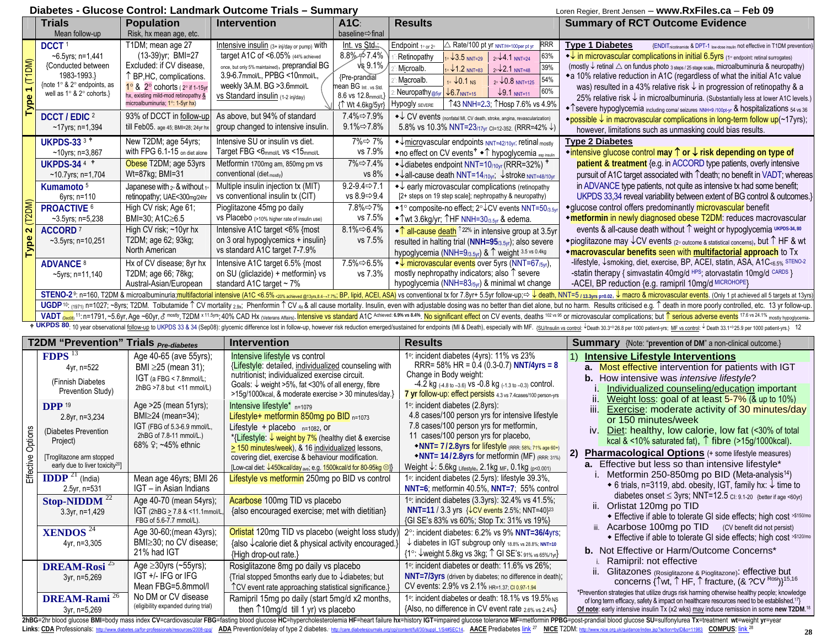### **Diabetes - Glucose Control: Landmark Outcome Trials – Summary** Loren Regier, Brent Jensen – **www.RxFiles.ca** – **Feb 09**

> Mean age 46yrs; BMI 26 IGT – in Asian Indians

Age 40-70 (mean 54yrs); IGT (2hBG > 7.8 & <11.1mmol/L, FBG of 5.6-7.7 mmol/L).

Age 30-60;(mean 43yrs); BMI≥30; no CV disease;

Age ≥30yrs (~55yrs); IGT +/- IFG or IFG Mean FBG=5.8mmol/l No DM or CV disease (eligibility expanded during trial)

21% had IGT

**IDDP** <sup>21</sup> (India) 2.5yr, n=531

**XENDOS** <sup>24</sup> 4yr, n=3,305

Stop-NIDDM<sup>22</sup> 3.3yr, n=1,429

**DREAM-Rosi** <sup>25</sup> 3yr, n=5,269

**DREAM-Rami** <sup>26</sup> 3yr, n=5,269

| <b>Trials</b><br>A <sub>1C</sub><br><b>Results</b><br><b>Summary of RCT Outcome Evidence</b><br><b>Population</b><br><b>Intervention</b><br>Mean follow-up<br>Risk, hx mean age, etc.<br>baseline⇒final<br>T1DM; mean age 27<br>△ Rate/100 pt yr NNT/H=100per pt yr<br><b>RRR</b><br>DCCT <sup>1</sup><br>Int. vs Std.:<br>Intensive insulin (3+ inj/day or pump) with<br><b>Type 1 Diabetes</b><br>Endpoint 10 or 20<br>(13-39)yr; BMI=27<br>$8.8\% \div 7.4\%$<br>target A1C of <6.05% (44% achieved<br>+ in microvascular complications in initial 6.5yrs (1° endpoint: retinal surrogates)<br>$-6.5$ yrs; n=1,441<br>63%<br>Retinopathy<br>$\sqrt{3.5}$ NNT=29<br>$20\sqrt{4.1}$ NNT=24<br>(T1DM)<br>Excluded: if CV disease,<br>$\sqrt{8}9.1\%$<br>once, but only 5% maintained), preprandial BG<br>{Conducted between<br>(mostly $\downarrow$ retinal $\triangle$ on fundus photo $_3$ steps / 25 stage scale, microalbuminuria & neuropathy)<br>39%<br>Microalb.<br>$\cdot\sqrt{1.2}$ NNT=83<br>$2^\circ\sqrt{2.1}$ NNT=48<br>3.9-6.7mmol/L, PPBG <10mmol/L,<br>1983-1993.}<br>↑ BP, HC, complications.<br>◆ a 10% relative reduction in A1C (regardless of what the initial A1c value<br>{Pre-prandial<br>54%<br>Macroalb.<br>$10.1$ NS<br>$20.8$ NNT=125<br>{note 1° & 2° endpoints, as<br>weekly 3A.M. BG > 3.6mmol/L<br>1° & 2° cohorts (2° if 1-15yr<br>mean BG Int, vs Std.<br>was) resulted in a 43% relative risk ↓ in progression of retinopathy & a<br>$\leftarrow$<br>60%<br>$\downarrow$ 6.7 <sub>NNT=15</sub><br>$\downarrow$ 9.1 NNT=11<br>Neuropathy <sub>@5yr</sub><br>well as 1° & 2° cohorts.}<br>8.6 vs 12.8mmol/L<br>hx, existing mild-mod retinopathy &<br>VS Standard insulin (1-2 inj/day)<br>8<br>microalbuminuria; 1°: 1-5yr hx)<br>↑43 NNH=2.3; ↑Hosp 7.6% vs 4.9%<br><b>Hypogly</b> SEVERE<br>{1 Wt 4.6kg/5yr}<br>◆ ↑ severe hypoglycemia including comal seizures NNH=9 /100pt-yr & hospitalizations 54 vs 36<br>Ρ<br>93% of DCCT in follow-up<br>As above, but 94% of standard<br>DCCT / EDIC 2<br>7.4%⇔7.9%<br>◆↓ CV events (nonfatal MI, CV death, stroke, angina, revascularization)<br>• possible $\downarrow$ in macrovascular complications in long-term follow up( $\sim$ 17yrs);<br>$9.1\% \Rightarrow 7.8\%$<br>5.8% vs 10.3% NNT=23/17yr CI=12-352. (RRR=42% ↓)<br>till Feb05. age 45; BMI=28; 24yr hx<br>group changed to intensive insulin.<br>$-17$ yrs; n=1,394<br>however, limitations such as unmasking could bias results.<br>Intensive SU or insulin vs diet.<br><b>UKPDS-33<sup>3</sup></b><br>New T2DM; age 54yrs;<br>7%⇔ 7%<br><b>Type 2 Diabetes</b><br>$\rightarrow \frac{1}{2}$ microvascular endpoints NNT=42/10yr; retinal mostly<br>vs 7.9%<br>with FPG 6.1-15 on diet alone<br>Target FBG <6mmol/L vs <15mmol/L<br>• intensive glucose control may $\uparrow$ or $\downarrow$ risk depending on type of<br>$~10$ yrs; n=3,867<br>◆ no effect on CV events <sup>†</sup> ◆ ↑ hypoglycemia <sub>espinsuin</sub><br>Obese T2DM; age 53yrs<br>Metformin 1700mg am, 850mg pm vs<br>7%⇔7.4%<br>patient & treatment {e.g. in ACCORD type patients, overly intensive<br><b>UKPDS-344 *</b><br>+ Jdiabetes endpoint NNT=10/10yr (RRR=32%) *<br>Wt=87kg; BMI=31<br>conventional (diet mostly)<br>vs 8%<br>pursuit of A1C target associated with Tdeath; no benefit in VADT; whereas<br>$-10.7$ yrs; n=1,704<br>$\triangleleft$ all-cause death NNT=14 <sub>/10yr</sub> ; $\triangleleft$ stroke NNT=48/10yr<br>$9.2 - 9.4 \Rightarrow 7.1$<br>in ADVANCE type patients, not quite as intensive tx had some benefit;<br>Multiple insulin injection tx (MIT)<br>Kumamoto <sup>5</sup><br>Japanese with 2 <sup>o</sup> & without 1 <sup>o</sup><br>$\rightarrow \downarrow$ early microvascular complications (retinopathy<br>vs 8.9⇒9.4<br>[2+ steps on 19 step scale]; nephropathy & neuropathy)<br>vs conventional insulin tx (CIT)<br>retinopathy; UAE<300mg/24hr<br>6yrs; n=110<br>Pioglitazone 45mg po daily<br>7.8%⇔7%<br>*glucose control offers predominantly microvascular benefit<br>PROACTIVE <sup>6</sup><br>High CV risk; Age 61;<br>◆1° composite-no effect; 2° ↓ CV events NNT=50/3.5yr<br>vs 7.5%<br>BMI=30; A1C≥6.5<br>VS Placebo (>10% higher rate of insulin use)<br>*metformin in newly diagnosed obese T2DM: reduces macrovascular<br>$-3.5$ yrs; n=5,238<br>◆ Twt 3.6kg/yr; THF NNH=30/3.5yr & edema.<br>events & all-cause death without 1 weight or hypoglycemia UKPDS-34, 80<br>Intensive A1C target <6% {most<br>$8.1\% \Rightarrow 6.4\%$<br>ACCORD <sup>7</sup><br>High CV risk: ~10yr hx<br>$\mathbf{\tilde{N}}$<br>• $\uparrow$ all-cause death $\uparrow$ 22% in intensive group at 3.5yr<br>Type<br>T2DM; age 62; 93kg;<br>on 3 oral hypoglycemics + insulin}<br>vs 7.5%<br>◆pioglitazone may ↓CV events (2° outcome & statistical concerns), but 1 HF & wt<br>$-3.5$ yrs; n=10,251<br>resulted in halting trial (NNH=95/3.5yr); also severe<br>North American<br>vs standard A1C target 7-7.9%<br>*macrovascular benefits seen with multifactorial approach to Tx<br>hypoglycemia (NNH=9/3.5yr) & 1 weight 3.5 vs 0.4kg<br>-lifestyle, ↓smoking, diet, exercise, BP, ACEI, statin, ASA, A1C<6.5% STENO-2<br>7.5% $\Rightarrow$ 6.5%<br>ADVANCE <sup>8</sup><br>Hx of CV disease; 8yr hx<br>Intensive A1C target 6.5% {most<br>$\overline{\mathcal{L}}$ microvascular events over 5yrs (NNT=67 <sub>/5yr</sub> ),<br>-statin therapy { simvastatin 40mg/d HPS; atorvastatin 10mg/d CARDS }<br>T2DM; age 66; 78kg;<br>on SU (gliclazide) + metformin} vs<br>vs 7.3%<br>mostly nephropathy indicators; also $\uparrow$ severe<br>$-5$ yrs; n=11,140<br>hypoglycemia (NNH=83/5yr) & minimal wt change<br>-ACEI, BP reduction {e.g. ramipril 10mg/d MICROHOPE}<br>Austral-Asian/European<br>standard A1C target $\sim$ 7%<br>STENO-2 9: n=160, T2DM & microalbuminuria; <mark>multifactorial intensive (A1C &lt;6.5% &lt;20% achieved @13yrs,84→77%; BP, lipid, ACEI, ASA) vs conventional tx for 7.8yr+ 5.5yr follow-up; <math>\Leftrightarrow</math> <math>\frac{1}{2}</math> death, NNT=5 /13.3yrs p=0.</mark><br>UGDP <sup>10</sup> : (1971) n=1027; ~8yrs; T2DM. Tolbutamide 1 CV mortality 2.9x; Phenformin 1 CV 4x & all cause mortality. Insulin, even with adjustable dosing was no better than diet alone, but no harm. Results criticised e.g. 1 de<br>VADT Decore 11: n=1791, ~5.6yr, Age ~60yr, 3 <sup>mostly</sup> , T2DM × 11.5yrs; 40% CAD Hx (veterans Attairs). Intensive vs standard A1C Achieved: 6.9% vs 8.4% No significant effect on CV events, deaths 102 w 95 or microvascular com<br>+ UKPDS 80: 10 year observational follow-up to UKPDS 33 & 34 (Sep08): glycemic difference lost in follow-up, however risk reduction emerged/sustained for endpoints (MI & Death), especially with MF. (SU/Insulin vs control:<br><b>T2DM "Prevention" Trials Pre-diabetes</b><br>Intervention<br><b>Results</b><br><b>Summary</b> {Note: "prevention of DM" a non-clinical outcome.}<br>Intensive lifestyle vs control<br>1 <sup>o</sup> : incident diabetes (4yrs): 11% vs 23%<br><b>FDPS</b><br>Age 40-65 (ave 55yrs);<br><b>Intensive Lifestyle Interventions</b><br>$\left( \begin{matrix} 1 \end{matrix} \right)$<br>RRR= $58\%$ HR = 0.4 (0.3-0.7) NNT/4yrs = 8<br>{Lifestyle: detailed, individualized counseling with<br>4yr, n=522<br>BMI ≥25 (mean 31);<br>a. Most effective intervention for patients with IGT<br>Change in Body weight:<br>nutritionist; individualized exercise circuit.<br><b>b.</b> How intensive was intensive lifestyle?<br>IGT (a FBG < 7.8mmol/L;<br>(Finnish Diabetes<br>$-4.2$ kg $(4.8 \text{ to } -3.6)$ vs $-0.8$ kg $(-1.3 \text{ to } -0.3)$ control.<br>Goals: $\downarrow$ weight >5%, fat <30% of all energy, fibre<br>2hBG >7.8 but <11 mmol/L)<br>Individualized counseling/education important<br>Prevention Study)<br>>15g/1000kcal, & moderate exercise > 30 minutes/day.}<br>7 yr follow-up: effect persists 4.3 vs 7.4cases/100 person-yrs<br>Weight loss: goal of at least 5-7% (& up to 10%)<br>1°: incident diabetes (2.8yrs):<br>Age > 25 (mean 51yrs);<br>Intensive lifestyle* n=1079<br>$\mathbf{DPP}$ 19<br>iii. Exercise: moderate activity of 30 minutes/day<br>4.8 cases/100 person yrs for intensive lifestyle<br>BMI≥24 (mean=34);<br>Lifestyle+ metformin 850mg po BID $n=1073$<br>2.8yr, n=3,234<br>or 150 minutes/week<br>7.8 cases/100 person yrs for metformin,<br>IGT (FBG of 5.3-6.9 mmol/L.<br>Lifestyle + placebo $n=1082$ , or<br>Options<br>iv. Diet: healthy, low calorie, low fat (<30% of total<br>(Diabetes Prevention<br>2hBG of 7.8-11 mmol/L.)<br>11 cases/100 person yrs for placebo,<br>*{Lifestyle: ↓ weight by 7% (healthy diet & exercise<br>kcal & <10% saturated fat), $\uparrow$ fibre (>15g/1000kcal).<br>Project)<br>68% 9: ~45% ethnic<br>• NNT = 7 / 2.8 yrs for lifestyle (RRR: 58%; 71% age 60+)<br>> 150 minutes/week), & 16 individualized lessons,<br>2) Pharmacological Options (+ some lifestyle measures)<br>• NNT= 14/2.8yrs for metformin (MF) (RRR: 31%)<br>Effective<br>covering diet, exercise & behaviour modification.<br>[Troglitazone arm stopped<br>a. Effective but less so than intensive lifestyle*<br>early due to liver toxicity <sup>20</sup> ]<br>Weight $\downarrow$ : 5.6kg Lifestyle, 2.1kg MF, 0.1kg (p<0.001)<br>[Low-cal diet: ↓450kcal/day ave; e.g. 1500kcal/d for 80-95kg <sup>@</sup> ]}<br>i. Metformin 250-850mg po BID (Meta-analysis <sup>14</sup> )<br>Mean age 46yrs; BMI 26<br>Lifestyle vs metformin 250mg po BID vs control |                                   |  | <b>VANNILLE</b> |                                                               | LUI GII I VOUGI, DI GIIL JOILSOIT TUUUU HULLAI HUU JIULU TUU UU                                                                                                                 |
|---------------------------------------------------------------------------------------------------------------------------------------------------------------------------------------------------------------------------------------------------------------------------------------------------------------------------------------------------------------------------------------------------------------------------------------------------------------------------------------------------------------------------------------------------------------------------------------------------------------------------------------------------------------------------------------------------------------------------------------------------------------------------------------------------------------------------------------------------------------------------------------------------------------------------------------------------------------------------------------------------------------------------------------------------------------------------------------------------------------------------------------------------------------------------------------------------------------------------------------------------------------------------------------------------------------------------------------------------------------------------------------------------------------------------------------------------------------------------------------------------------------------------------------------------------------------------------------------------------------------------------------------------------------------------------------------------------------------------------------------------------------------------------------------------------------------------------------------------------------------------------------------------------------------------------------------------------------------------------------------------------------------------------------------------------------------------------------------------------------------------------------------------------------------------------------------------------------------------------------------------------------------------------------------------------------------------------------------------------------------------------------------------------------------------------------------------------------------------------------------------------------------------------------------------------------------------------------------------------------------------------------------------------------------------------------------------------------------------------------------------------------------------------------------------------------------------------------------------------------------------------------------------------------------------------------------------------------------------------------------------------------------------------------------------------------------------------------------------------------------------------------------------------------------------------------------------------------------------------------------------------------------------------------------------------------------------------------------------------------------------------------------------------------------------------------------------------------------------------------------------------------------------------------------------------------------------------------------------------------------------------------------------------------------------------------------------------------------------------------------------------------------------------------------------------------------------------------------------------------------------------------------------------------------------------------------------------------------------------------------------------------------------------------------------------------------------------------------------------------------------------------------------------------------------------------------------------------------------------------------------------------------------------------------------------------------------------------------------------------------------------------------------------------------------------------------------------------------------------------------------------------------------------------------------------------------------------------------------------------------------------------------------------------------------------------------------------------------------------------------------------------------------------------------------------------------------------------------------------------------------------------------------------------------------------------------------------------------------------------------------------------------------------------------------------------------------------------------------------------------------------------------------------------------------------------------------------------------------------------------------------------------------------------------------------------------------------------------------------------------------------------------------------------------------------------------------------------------------------------------------------------------------------------------------------------------------------------------------------------------------------------------------------------------------------------------------------------------------------------------------------------------------------------------------------------------------------------------------------------------------------------------------------------------------------------------------------------------------------------------------------------------------------------------------------------------------------------------------------------------------------------------------------------------------------------------------------------------------------------------------------------------------------------------------------------------------------------------------------------------------------------------------------------------------------------------------------------------------------------------------------------------------------------------------------------------------------------------------------------------------------------------------------------------------------------------------------------------------------------------------------------------------------------------------------------------------------------------------------------------------------------------------------------------------------------------------------------------------------------------------------------------------------------------------------------------------------------------------------------------------------------------------------------------------------------------------------------------------------------------------------------------------------------------------------------------------------------------------------------------------------------------------------------------------------------------------------------------------------------------------------------------------------------------------------------------------------------------------------------------------------------------------------------------------------------------------------------------------------------------------------------------------------------------------------------------------------------------------------------------------------------------------------------------------------------------------------------------------------------------------------------------------------------------------------------------------------------------------------------------------------------------------------------------------------------------------------------------------------------------------------------------------------------------------------------------------------------------------------------------------------------------------------------------------------------------------------------------------------------------------------------------------------------------------------------------------------------------------------------------------------------------------------------------------------------------------------------------------------------------------------------------------------------------------------------------------------------------------------------------------------------------------------------------------------------------------------------------------------------------------------------------------------------------------------------------------------------------------------------------------------------------------------------------------------------------------------------------------------------------------------------------------------------------------------------------------------------------------------------------------------------------------------------------------------------------------------------------------------------------------------------------------------------------------------------------|-----------------------------------|--|-----------------|---------------------------------------------------------------|---------------------------------------------------------------------------------------------------------------------------------------------------------------------------------|
|                                                                                                                                                                                                                                                                                                                                                                                                                                                                                                                                                                                                                                                                                                                                                                                                                                                                                                                                                                                                                                                                                                                                                                                                                                                                                                                                                                                                                                                                                                                                                                                                                                                                                                                                                                                                                                                                                                                                                                                                                                                                                                                                                                                                                                                                                                                                                                                                                                                                                                                                                                                                                                                                                                                                                                                                                                                                                                                                                                                                                                                                                                                                                                                                                                                                                                                                                                                                                                                                                                                                                                                                                                                                                                                                                                                                                                                                                                                                                                                                                                                                                                                                                                                                                                                                                                                                                                                                                                                                                                                                                                                                                                                                                                                                                                                                                                                                                                                                                                                                                                                                                                                                                                                                                                                                                                                                                                                                                                                                                                                                                                                                                                                                                                                                                                                                                                                                                                                                                                                                                                                                                                                                                                                                                                                                                                                                                                                                                                                                                                                                                                                                                                                                                                                                                                                                                                                                                                                                                                                                                                                                                                                                                                                                                                                                                                                                                                                                                                                                                                                                                                                                                                                                                                                                                                                                                                                                                                                                                                                                                                                                                                                                                                                                                                                                                                                                                                                                                                                                                                                                                                                                                                                                                                                                                                                                                                                                                                                                                                                                                                                                                                                                                                                                                                                                                                                                                                                                                                                                                                                                                                     |                                   |  |                 |                                                               |                                                                                                                                                                                 |
|                                                                                                                                                                                                                                                                                                                                                                                                                                                                                                                                                                                                                                                                                                                                                                                                                                                                                                                                                                                                                                                                                                                                                                                                                                                                                                                                                                                                                                                                                                                                                                                                                                                                                                                                                                                                                                                                                                                                                                                                                                                                                                                                                                                                                                                                                                                                                                                                                                                                                                                                                                                                                                                                                                                                                                                                                                                                                                                                                                                                                                                                                                                                                                                                                                                                                                                                                                                                                                                                                                                                                                                                                                                                                                                                                                                                                                                                                                                                                                                                                                                                                                                                                                                                                                                                                                                                                                                                                                                                                                                                                                                                                                                                                                                                                                                                                                                                                                                                                                                                                                                                                                                                                                                                                                                                                                                                                                                                                                                                                                                                                                                                                                                                                                                                                                                                                                                                                                                                                                                                                                                                                                                                                                                                                                                                                                                                                                                                                                                                                                                                                                                                                                                                                                                                                                                                                                                                                                                                                                                                                                                                                                                                                                                                                                                                                                                                                                                                                                                                                                                                                                                                                                                                                                                                                                                                                                                                                                                                                                                                                                                                                                                                                                                                                                                                                                                                                                                                                                                                                                                                                                                                                                                                                                                                                                                                                                                                                                                                                                                                                                                                                                                                                                                                                                                                                                                                                                                                                                                                                                                                                                     |                                   |  |                 |                                                               |                                                                                                                                                                                 |
|                                                                                                                                                                                                                                                                                                                                                                                                                                                                                                                                                                                                                                                                                                                                                                                                                                                                                                                                                                                                                                                                                                                                                                                                                                                                                                                                                                                                                                                                                                                                                                                                                                                                                                                                                                                                                                                                                                                                                                                                                                                                                                                                                                                                                                                                                                                                                                                                                                                                                                                                                                                                                                                                                                                                                                                                                                                                                                                                                                                                                                                                                                                                                                                                                                                                                                                                                                                                                                                                                                                                                                                                                                                                                                                                                                                                                                                                                                                                                                                                                                                                                                                                                                                                                                                                                                                                                                                                                                                                                                                                                                                                                                                                                                                                                                                                                                                                                                                                                                                                                                                                                                                                                                                                                                                                                                                                                                                                                                                                                                                                                                                                                                                                                                                                                                                                                                                                                                                                                                                                                                                                                                                                                                                                                                                                                                                                                                                                                                                                                                                                                                                                                                                                                                                                                                                                                                                                                                                                                                                                                                                                                                                                                                                                                                                                                                                                                                                                                                                                                                                                                                                                                                                                                                                                                                                                                                                                                                                                                                                                                                                                                                                                                                                                                                                                                                                                                                                                                                                                                                                                                                                                                                                                                                                                                                                                                                                                                                                                                                                                                                                                                                                                                                                                                                                                                                                                                                                                                                                                                                                                                                     |                                   |  |                 |                                                               | {ENDIT <sub>nicotinamide</sub> & DPT-1 low-dose insulin not effective in T1DM prevention}<br>25% relative risk ↓ in microalbuminuria. (Substantially less at lower A1C levels.) |
|                                                                                                                                                                                                                                                                                                                                                                                                                                                                                                                                                                                                                                                                                                                                                                                                                                                                                                                                                                                                                                                                                                                                                                                                                                                                                                                                                                                                                                                                                                                                                                                                                                                                                                                                                                                                                                                                                                                                                                                                                                                                                                                                                                                                                                                                                                                                                                                                                                                                                                                                                                                                                                                                                                                                                                                                                                                                                                                                                                                                                                                                                                                                                                                                                                                                                                                                                                                                                                                                                                                                                                                                                                                                                                                                                                                                                                                                                                                                                                                                                                                                                                                                                                                                                                                                                                                                                                                                                                                                                                                                                                                                                                                                                                                                                                                                                                                                                                                                                                                                                                                                                                                                                                                                                                                                                                                                                                                                                                                                                                                                                                                                                                                                                                                                                                                                                                                                                                                                                                                                                                                                                                                                                                                                                                                                                                                                                                                                                                                                                                                                                                                                                                                                                                                                                                                                                                                                                                                                                                                                                                                                                                                                                                                                                                                                                                                                                                                                                                                                                                                                                                                                                                                                                                                                                                                                                                                                                                                                                                                                                                                                                                                                                                                                                                                                                                                                                                                                                                                                                                                                                                                                                                                                                                                                                                                                                                                                                                                                                                                                                                                                                                                                                                                                                                                                                                                                                                                                                                                                                                                                                                     |                                   |  |                 |                                                               |                                                                                                                                                                                 |
|                                                                                                                                                                                                                                                                                                                                                                                                                                                                                                                                                                                                                                                                                                                                                                                                                                                                                                                                                                                                                                                                                                                                                                                                                                                                                                                                                                                                                                                                                                                                                                                                                                                                                                                                                                                                                                                                                                                                                                                                                                                                                                                                                                                                                                                                                                                                                                                                                                                                                                                                                                                                                                                                                                                                                                                                                                                                                                                                                                                                                                                                                                                                                                                                                                                                                                                                                                                                                                                                                                                                                                                                                                                                                                                                                                                                                                                                                                                                                                                                                                                                                                                                                                                                                                                                                                                                                                                                                                                                                                                                                                                                                                                                                                                                                                                                                                                                                                                                                                                                                                                                                                                                                                                                                                                                                                                                                                                                                                                                                                                                                                                                                                                                                                                                                                                                                                                                                                                                                                                                                                                                                                                                                                                                                                                                                                                                                                                                                                                                                                                                                                                                                                                                                                                                                                                                                                                                                                                                                                                                                                                                                                                                                                                                                                                                                                                                                                                                                                                                                                                                                                                                                                                                                                                                                                                                                                                                                                                                                                                                                                                                                                                                                                                                                                                                                                                                                                                                                                                                                                                                                                                                                                                                                                                                                                                                                                                                                                                                                                                                                                                                                                                                                                                                                                                                                                                                                                                                                                                                                                                                                                     |                                   |  |                 |                                                               |                                                                                                                                                                                 |
|                                                                                                                                                                                                                                                                                                                                                                                                                                                                                                                                                                                                                                                                                                                                                                                                                                                                                                                                                                                                                                                                                                                                                                                                                                                                                                                                                                                                                                                                                                                                                                                                                                                                                                                                                                                                                                                                                                                                                                                                                                                                                                                                                                                                                                                                                                                                                                                                                                                                                                                                                                                                                                                                                                                                                                                                                                                                                                                                                                                                                                                                                                                                                                                                                                                                                                                                                                                                                                                                                                                                                                                                                                                                                                                                                                                                                                                                                                                                                                                                                                                                                                                                                                                                                                                                                                                                                                                                                                                                                                                                                                                                                                                                                                                                                                                                                                                                                                                                                                                                                                                                                                                                                                                                                                                                                                                                                                                                                                                                                                                                                                                                                                                                                                                                                                                                                                                                                                                                                                                                                                                                                                                                                                                                                                                                                                                                                                                                                                                                                                                                                                                                                                                                                                                                                                                                                                                                                                                                                                                                                                                                                                                                                                                                                                                                                                                                                                                                                                                                                                                                                                                                                                                                                                                                                                                                                                                                                                                                                                                                                                                                                                                                                                                                                                                                                                                                                                                                                                                                                                                                                                                                                                                                                                                                                                                                                                                                                                                                                                                                                                                                                                                                                                                                                                                                                                                                                                                                                                                                                                                                                                     |                                   |  |                 |                                                               |                                                                                                                                                                                 |
|                                                                                                                                                                                                                                                                                                                                                                                                                                                                                                                                                                                                                                                                                                                                                                                                                                                                                                                                                                                                                                                                                                                                                                                                                                                                                                                                                                                                                                                                                                                                                                                                                                                                                                                                                                                                                                                                                                                                                                                                                                                                                                                                                                                                                                                                                                                                                                                                                                                                                                                                                                                                                                                                                                                                                                                                                                                                                                                                                                                                                                                                                                                                                                                                                                                                                                                                                                                                                                                                                                                                                                                                                                                                                                                                                                                                                                                                                                                                                                                                                                                                                                                                                                                                                                                                                                                                                                                                                                                                                                                                                                                                                                                                                                                                                                                                                                                                                                                                                                                                                                                                                                                                                                                                                                                                                                                                                                                                                                                                                                                                                                                                                                                                                                                                                                                                                                                                                                                                                                                                                                                                                                                                                                                                                                                                                                                                                                                                                                                                                                                                                                                                                                                                                                                                                                                                                                                                                                                                                                                                                                                                                                                                                                                                                                                                                                                                                                                                                                                                                                                                                                                                                                                                                                                                                                                                                                                                                                                                                                                                                                                                                                                                                                                                                                                                                                                                                                                                                                                                                                                                                                                                                                                                                                                                                                                                                                                                                                                                                                                                                                                                                                                                                                                                                                                                                                                                                                                                                                                                                                                                                                     |                                   |  |                 |                                                               | UKPDS 33,34 reveal variability between extent of BG control & outcomes.}                                                                                                        |
|                                                                                                                                                                                                                                                                                                                                                                                                                                                                                                                                                                                                                                                                                                                                                                                                                                                                                                                                                                                                                                                                                                                                                                                                                                                                                                                                                                                                                                                                                                                                                                                                                                                                                                                                                                                                                                                                                                                                                                                                                                                                                                                                                                                                                                                                                                                                                                                                                                                                                                                                                                                                                                                                                                                                                                                                                                                                                                                                                                                                                                                                                                                                                                                                                                                                                                                                                                                                                                                                                                                                                                                                                                                                                                                                                                                                                                                                                                                                                                                                                                                                                                                                                                                                                                                                                                                                                                                                                                                                                                                                                                                                                                                                                                                                                                                                                                                                                                                                                                                                                                                                                                                                                                                                                                                                                                                                                                                                                                                                                                                                                                                                                                                                                                                                                                                                                                                                                                                                                                                                                                                                                                                                                                                                                                                                                                                                                                                                                                                                                                                                                                                                                                                                                                                                                                                                                                                                                                                                                                                                                                                                                                                                                                                                                                                                                                                                                                                                                                                                                                                                                                                                                                                                                                                                                                                                                                                                                                                                                                                                                                                                                                                                                                                                                                                                                                                                                                                                                                                                                                                                                                                                                                                                                                                                                                                                                                                                                                                                                                                                                                                                                                                                                                                                                                                                                                                                                                                                                                                                                                                                                                     |                                   |  |                 |                                                               |                                                                                                                                                                                 |
|                                                                                                                                                                                                                                                                                                                                                                                                                                                                                                                                                                                                                                                                                                                                                                                                                                                                                                                                                                                                                                                                                                                                                                                                                                                                                                                                                                                                                                                                                                                                                                                                                                                                                                                                                                                                                                                                                                                                                                                                                                                                                                                                                                                                                                                                                                                                                                                                                                                                                                                                                                                                                                                                                                                                                                                                                                                                                                                                                                                                                                                                                                                                                                                                                                                                                                                                                                                                                                                                                                                                                                                                                                                                                                                                                                                                                                                                                                                                                                                                                                                                                                                                                                                                                                                                                                                                                                                                                                                                                                                                                                                                                                                                                                                                                                                                                                                                                                                                                                                                                                                                                                                                                                                                                                                                                                                                                                                                                                                                                                                                                                                                                                                                                                                                                                                                                                                                                                                                                                                                                                                                                                                                                                                                                                                                                                                                                                                                                                                                                                                                                                                                                                                                                                                                                                                                                                                                                                                                                                                                                                                                                                                                                                                                                                                                                                                                                                                                                                                                                                                                                                                                                                                                                                                                                                                                                                                                                                                                                                                                                                                                                                                                                                                                                                                                                                                                                                                                                                                                                                                                                                                                                                                                                                                                                                                                                                                                                                                                                                                                                                                                                                                                                                                                                                                                                                                                                                                                                                                                                                                                                                     |                                   |  |                 |                                                               |                                                                                                                                                                                 |
|                                                                                                                                                                                                                                                                                                                                                                                                                                                                                                                                                                                                                                                                                                                                                                                                                                                                                                                                                                                                                                                                                                                                                                                                                                                                                                                                                                                                                                                                                                                                                                                                                                                                                                                                                                                                                                                                                                                                                                                                                                                                                                                                                                                                                                                                                                                                                                                                                                                                                                                                                                                                                                                                                                                                                                                                                                                                                                                                                                                                                                                                                                                                                                                                                                                                                                                                                                                                                                                                                                                                                                                                                                                                                                                                                                                                                                                                                                                                                                                                                                                                                                                                                                                                                                                                                                                                                                                                                                                                                                                                                                                                                                                                                                                                                                                                                                                                                                                                                                                                                                                                                                                                                                                                                                                                                                                                                                                                                                                                                                                                                                                                                                                                                                                                                                                                                                                                                                                                                                                                                                                                                                                                                                                                                                                                                                                                                                                                                                                                                                                                                                                                                                                                                                                                                                                                                                                                                                                                                                                                                                                                                                                                                                                                                                                                                                                                                                                                                                                                                                                                                                                                                                                                                                                                                                                                                                                                                                                                                                                                                                                                                                                                                                                                                                                                                                                                                                                                                                                                                                                                                                                                                                                                                                                                                                                                                                                                                                                                                                                                                                                                                                                                                                                                                                                                                                                                                                                                                                                                                                                                                                     |                                   |  |                 |                                                               |                                                                                                                                                                                 |
|                                                                                                                                                                                                                                                                                                                                                                                                                                                                                                                                                                                                                                                                                                                                                                                                                                                                                                                                                                                                                                                                                                                                                                                                                                                                                                                                                                                                                                                                                                                                                                                                                                                                                                                                                                                                                                                                                                                                                                                                                                                                                                                                                                                                                                                                                                                                                                                                                                                                                                                                                                                                                                                                                                                                                                                                                                                                                                                                                                                                                                                                                                                                                                                                                                                                                                                                                                                                                                                                                                                                                                                                                                                                                                                                                                                                                                                                                                                                                                                                                                                                                                                                                                                                                                                                                                                                                                                                                                                                                                                                                                                                                                                                                                                                                                                                                                                                                                                                                                                                                                                                                                                                                                                                                                                                                                                                                                                                                                                                                                                                                                                                                                                                                                                                                                                                                                                                                                                                                                                                                                                                                                                                                                                                                                                                                                                                                                                                                                                                                                                                                                                                                                                                                                                                                                                                                                                                                                                                                                                                                                                                                                                                                                                                                                                                                                                                                                                                                                                                                                                                                                                                                                                                                                                                                                                                                                                                                                                                                                                                                                                                                                                                                                                                                                                                                                                                                                                                                                                                                                                                                                                                                                                                                                                                                                                                                                                                                                                                                                                                                                                                                                                                                                                                                                                                                                                                                                                                                                                                                                                                                                     |                                   |  |                 |                                                               |                                                                                                                                                                                 |
|                                                                                                                                                                                                                                                                                                                                                                                                                                                                                                                                                                                                                                                                                                                                                                                                                                                                                                                                                                                                                                                                                                                                                                                                                                                                                                                                                                                                                                                                                                                                                                                                                                                                                                                                                                                                                                                                                                                                                                                                                                                                                                                                                                                                                                                                                                                                                                                                                                                                                                                                                                                                                                                                                                                                                                                                                                                                                                                                                                                                                                                                                                                                                                                                                                                                                                                                                                                                                                                                                                                                                                                                                                                                                                                                                                                                                                                                                                                                                                                                                                                                                                                                                                                                                                                                                                                                                                                                                                                                                                                                                                                                                                                                                                                                                                                                                                                                                                                                                                                                                                                                                                                                                                                                                                                                                                                                                                                                                                                                                                                                                                                                                                                                                                                                                                                                                                                                                                                                                                                                                                                                                                                                                                                                                                                                                                                                                                                                                                                                                                                                                                                                                                                                                                                                                                                                                                                                                                                                                                                                                                                                                                                                                                                                                                                                                                                                                                                                                                                                                                                                                                                                                                                                                                                                                                                                                                                                                                                                                                                                                                                                                                                                                                                                                                                                                                                                                                                                                                                                                                                                                                                                                                                                                                                                                                                                                                                                                                                                                                                                                                                                                                                                                                                                                                                                                                                                                                                                                                                                                                                                                                     |                                   |  |                 |                                                               |                                                                                                                                                                                 |
|                                                                                                                                                                                                                                                                                                                                                                                                                                                                                                                                                                                                                                                                                                                                                                                                                                                                                                                                                                                                                                                                                                                                                                                                                                                                                                                                                                                                                                                                                                                                                                                                                                                                                                                                                                                                                                                                                                                                                                                                                                                                                                                                                                                                                                                                                                                                                                                                                                                                                                                                                                                                                                                                                                                                                                                                                                                                                                                                                                                                                                                                                                                                                                                                                                                                                                                                                                                                                                                                                                                                                                                                                                                                                                                                                                                                                                                                                                                                                                                                                                                                                                                                                                                                                                                                                                                                                                                                                                                                                                                                                                                                                                                                                                                                                                                                                                                                                                                                                                                                                                                                                                                                                                                                                                                                                                                                                                                                                                                                                                                                                                                                                                                                                                                                                                                                                                                                                                                                                                                                                                                                                                                                                                                                                                                                                                                                                                                                                                                                                                                                                                                                                                                                                                                                                                                                                                                                                                                                                                                                                                                                                                                                                                                                                                                                                                                                                                                                                                                                                                                                                                                                                                                                                                                                                                                                                                                                                                                                                                                                                                                                                                                                                                                                                                                                                                                                                                                                                                                                                                                                                                                                                                                                                                                                                                                                                                                                                                                                                                                                                                                                                                                                                                                                                                                                                                                                                                                                                                                                                                                                                                     |                                   |  |                 |                                                               |                                                                                                                                                                                 |
|                                                                                                                                                                                                                                                                                                                                                                                                                                                                                                                                                                                                                                                                                                                                                                                                                                                                                                                                                                                                                                                                                                                                                                                                                                                                                                                                                                                                                                                                                                                                                                                                                                                                                                                                                                                                                                                                                                                                                                                                                                                                                                                                                                                                                                                                                                                                                                                                                                                                                                                                                                                                                                                                                                                                                                                                                                                                                                                                                                                                                                                                                                                                                                                                                                                                                                                                                                                                                                                                                                                                                                                                                                                                                                                                                                                                                                                                                                                                                                                                                                                                                                                                                                                                                                                                                                                                                                                                                                                                                                                                                                                                                                                                                                                                                                                                                                                                                                                                                                                                                                                                                                                                                                                                                                                                                                                                                                                                                                                                                                                                                                                                                                                                                                                                                                                                                                                                                                                                                                                                                                                                                                                                                                                                                                                                                                                                                                                                                                                                                                                                                                                                                                                                                                                                                                                                                                                                                                                                                                                                                                                                                                                                                                                                                                                                                                                                                                                                                                                                                                                                                                                                                                                                                                                                                                                                                                                                                                                                                                                                                                                                                                                                                                                                                                                                                                                                                                                                                                                                                                                                                                                                                                                                                                                                                                                                                                                                                                                                                                                                                                                                                                                                                                                                                                                                                                                                                                                                                                                                                                                                                                     |                                   |  |                 |                                                               |                                                                                                                                                                                 |
|                                                                                                                                                                                                                                                                                                                                                                                                                                                                                                                                                                                                                                                                                                                                                                                                                                                                                                                                                                                                                                                                                                                                                                                                                                                                                                                                                                                                                                                                                                                                                                                                                                                                                                                                                                                                                                                                                                                                                                                                                                                                                                                                                                                                                                                                                                                                                                                                                                                                                                                                                                                                                                                                                                                                                                                                                                                                                                                                                                                                                                                                                                                                                                                                                                                                                                                                                                                                                                                                                                                                                                                                                                                                                                                                                                                                                                                                                                                                                                                                                                                                                                                                                                                                                                                                                                                                                                                                                                                                                                                                                                                                                                                                                                                                                                                                                                                                                                                                                                                                                                                                                                                                                                                                                                                                                                                                                                                                                                                                                                                                                                                                                                                                                                                                                                                                                                                                                                                                                                                                                                                                                                                                                                                                                                                                                                                                                                                                                                                                                                                                                                                                                                                                                                                                                                                                                                                                                                                                                                                                                                                                                                                                                                                                                                                                                                                                                                                                                                                                                                                                                                                                                                                                                                                                                                                                                                                                                                                                                                                                                                                                                                                                                                                                                                                                                                                                                                                                                                                                                                                                                                                                                                                                                                                                                                                                                                                                                                                                                                                                                                                                                                                                                                                                                                                                                                                                                                                                                                                                                                                                                                     |                                   |  |                 |                                                               |                                                                                                                                                                                 |
|                                                                                                                                                                                                                                                                                                                                                                                                                                                                                                                                                                                                                                                                                                                                                                                                                                                                                                                                                                                                                                                                                                                                                                                                                                                                                                                                                                                                                                                                                                                                                                                                                                                                                                                                                                                                                                                                                                                                                                                                                                                                                                                                                                                                                                                                                                                                                                                                                                                                                                                                                                                                                                                                                                                                                                                                                                                                                                                                                                                                                                                                                                                                                                                                                                                                                                                                                                                                                                                                                                                                                                                                                                                                                                                                                                                                                                                                                                                                                                                                                                                                                                                                                                                                                                                                                                                                                                                                                                                                                                                                                                                                                                                                                                                                                                                                                                                                                                                                                                                                                                                                                                                                                                                                                                                                                                                                                                                                                                                                                                                                                                                                                                                                                                                                                                                                                                                                                                                                                                                                                                                                                                                                                                                                                                                                                                                                                                                                                                                                                                                                                                                                                                                                                                                                                                                                                                                                                                                                                                                                                                                                                                                                                                                                                                                                                                                                                                                                                                                                                                                                                                                                                                                                                                                                                                                                                                                                                                                                                                                                                                                                                                                                                                                                                                                                                                                                                                                                                                                                                                                                                                                                                                                                                                                                                                                                                                                                                                                                                                                                                                                                                                                                                                                                                                                                                                                                                                                                                                                                                                                                                                     |                                   |  |                 |                                                               |                                                                                                                                                                                 |
|                                                                                                                                                                                                                                                                                                                                                                                                                                                                                                                                                                                                                                                                                                                                                                                                                                                                                                                                                                                                                                                                                                                                                                                                                                                                                                                                                                                                                                                                                                                                                                                                                                                                                                                                                                                                                                                                                                                                                                                                                                                                                                                                                                                                                                                                                                                                                                                                                                                                                                                                                                                                                                                                                                                                                                                                                                                                                                                                                                                                                                                                                                                                                                                                                                                                                                                                                                                                                                                                                                                                                                                                                                                                                                                                                                                                                                                                                                                                                                                                                                                                                                                                                                                                                                                                                                                                                                                                                                                                                                                                                                                                                                                                                                                                                                                                                                                                                                                                                                                                                                                                                                                                                                                                                                                                                                                                                                                                                                                                                                                                                                                                                                                                                                                                                                                                                                                                                                                                                                                                                                                                                                                                                                                                                                                                                                                                                                                                                                                                                                                                                                                                                                                                                                                                                                                                                                                                                                                                                                                                                                                                                                                                                                                                                                                                                                                                                                                                                                                                                                                                                                                                                                                                                                                                                                                                                                                                                                                                                                                                                                                                                                                                                                                                                                                                                                                                                                                                                                                                                                                                                                                                                                                                                                                                                                                                                                                                                                                                                                                                                                                                                                                                                                                                                                                                                                                                                                                                                                                                                                                                                                     |                                   |  |                 |                                                               |                                                                                                                                                                                 |
|                                                                                                                                                                                                                                                                                                                                                                                                                                                                                                                                                                                                                                                                                                                                                                                                                                                                                                                                                                                                                                                                                                                                                                                                                                                                                                                                                                                                                                                                                                                                                                                                                                                                                                                                                                                                                                                                                                                                                                                                                                                                                                                                                                                                                                                                                                                                                                                                                                                                                                                                                                                                                                                                                                                                                                                                                                                                                                                                                                                                                                                                                                                                                                                                                                                                                                                                                                                                                                                                                                                                                                                                                                                                                                                                                                                                                                                                                                                                                                                                                                                                                                                                                                                                                                                                                                                                                                                                                                                                                                                                                                                                                                                                                                                                                                                                                                                                                                                                                                                                                                                                                                                                                                                                                                                                                                                                                                                                                                                                                                                                                                                                                                                                                                                                                                                                                                                                                                                                                                                                                                                                                                                                                                                                                                                                                                                                                                                                                                                                                                                                                                                                                                                                                                                                                                                                                                                                                                                                                                                                                                                                                                                                                                                                                                                                                                                                                                                                                                                                                                                                                                                                                                                                                                                                                                                                                                                                                                                                                                                                                                                                                                                                                                                                                                                                                                                                                                                                                                                                                                                                                                                                                                                                                                                                                                                                                                                                                                                                                                                                                                                                                                                                                                                                                                                                                                                                                                                                                                                                                                                                                                     |                                   |  |                 |                                                               |                                                                                                                                                                                 |
|                                                                                                                                                                                                                                                                                                                                                                                                                                                                                                                                                                                                                                                                                                                                                                                                                                                                                                                                                                                                                                                                                                                                                                                                                                                                                                                                                                                                                                                                                                                                                                                                                                                                                                                                                                                                                                                                                                                                                                                                                                                                                                                                                                                                                                                                                                                                                                                                                                                                                                                                                                                                                                                                                                                                                                                                                                                                                                                                                                                                                                                                                                                                                                                                                                                                                                                                                                                                                                                                                                                                                                                                                                                                                                                                                                                                                                                                                                                                                                                                                                                                                                                                                                                                                                                                                                                                                                                                                                                                                                                                                                                                                                                                                                                                                                                                                                                                                                                                                                                                                                                                                                                                                                                                                                                                                                                                                                                                                                                                                                                                                                                                                                                                                                                                                                                                                                                                                                                                                                                                                                                                                                                                                                                                                                                                                                                                                                                                                                                                                                                                                                                                                                                                                                                                                                                                                                                                                                                                                                                                                                                                                                                                                                                                                                                                                                                                                                                                                                                                                                                                                                                                                                                                                                                                                                                                                                                                                                                                                                                                                                                                                                                                                                                                                                                                                                                                                                                                                                                                                                                                                                                                                                                                                                                                                                                                                                                                                                                                                                                                                                                                                                                                                                                                                                                                                                                                                                                                                                                                                                                                                                     | <b>IDDP</b> <sup>21</sup> (India) |  |                 | 1 <sup>o</sup> : incident diabetes (2.5yrs): lifestyle 39.3%, |                                                                                                                                                                                 |

**NNT=6**; metformin 40.5%, **NNT=7**; 55% control

1o: incident diabetes (3.3yrs): 32.4% vs 41.5%; **NNT=11** / 3.3 yrs {↓CV events 2.5%; NNT=40}23 {GI SE's 83% vs 60%; Stop Tx: 31% vs 19%}

2°: incident diabetes: 6.2% vs 9% **NNT=36/4**yrs; ↓ diabetes in IGT subgroup only 18.8% vs 28.8%; **NNT=10** {1°: ↓weight 5.8kg vs 3kg; ↑ GI SE's: 91% vs 65%/1yr}

1o: incident diabetes or death: 11.6% vs 26%; **NNT=7/3yrs** (driven by diabetes; no difference in death); CV events: 2.9% vs 2.1% HR=1.37; CI 0.97-1.94

1<sup>o</sup>: incident diabetes or death:  $18.1\%$  vs  $19.5\%$ <sub>NS</sub> {Also, no difference in CV event rate 2.6% vs 2.4%}

- **a.** Effective but less so than intensive lifestyle\*
	- i. Metformin 250-850mg po BID (Meta-analysis<sup>14</sup>) 6 trials, n=3119, abd. obesity, IGT, family hx: ↓ time to diabetes onset  $\leq$  3yrs; NNT=12.5 CI: 9.1-20 {better if age <60yr}
- ii. Orlistat 120mg po TID
- **Effective if able to tolerate GI side effects; high cost >\$150/mo**
- iii.Acarbose 100mg po TID (CV benefit did not persist)
	- Effective if able to tolerate GI side effects; high cost >\$120/mo

**b.** Not Effective or Harm/Outcome Concerns\*

- i.Ramipril: not effective
- ii. Glitazones (Rosiglitazone & Pioglitazone): effective but concerns {↑wt, ↑ HF, ↑ fracture, (& ?CV Rosi)}<sup>15,16</sup>

\*Prevention strategies that utilize drugs risk harming otherwise healthy people; knowledge of long term efficacy, safety & impact on healthcare resources need to be established.<sup>17</sup> **Of note**: early intensive insulin Tx (x2 wks) may induce remission in some **new T2DM**.<sup>18</sup>

2hBG=2hr blood glucose BMI=body mass index CV=cardiovascular FBG=fasting blood glucose HC=hypercholesterolemia HF=heart failure hx=history IGT=impaired glucose tolerance MF=metformin PPBG=post-prandial blood glucose SU=sul Links: CDA Professionals: http://www.diabetes.ca/for-professionals/resources/2008-cpq/ htent/full/30/suppl\_1/S4#SEC14. AACE Prediabetes l<u>ink</u> <sup>27</sup> NICE T2DM: http://www.nice.org.uk/guidance/index.jsp?action=byID&o=11983 COMPUS: link.<sup>28</sup> 28

{also encouraged exercise; met with dietitian}

Orlistat 120mg TID vs placebo (weight loss study) {also ↓calorie diet & physical activity encouraged.}

Ramipril 15mg po daily (start 5mg/d x2 months, then ↑10mg/d till 1 yr) vs placebo

Acarbose 100mg TID vs placebo

Rosiglitazone 8mg po daily vs placebo {Trial stopped 5months early due to ↓diabetes; but ↑CV event rate approaching statistical significance.}

{High drop-out rate.}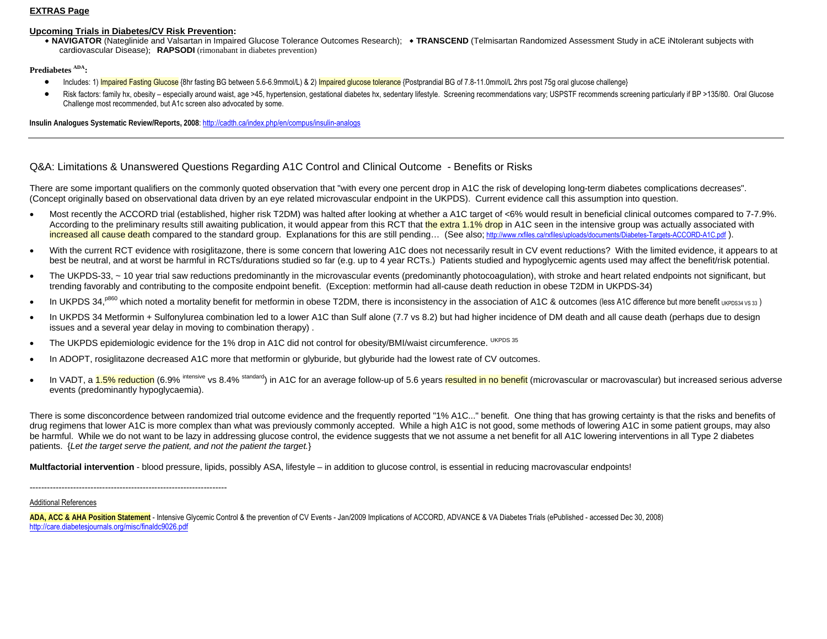### **EXTRAS Page**

### **Upcoming Trials in Diabetes/CV Risk Prevention:**

 **NAVIGATOR** (Nateglinide and Valsartan in Impaired Glucose Tolerance Outcomes Research);  **TRANSCEND** (Telmisartan Randomized Assessment Study in aCE iNtolerant subjects with cardiovascular Disease); **RAPSODI** (rimonabant in diabetes prevention)

### **Prediabetes ADA:**

- •Includes: 1) Impaired Fasting Glucose {8hr fasting BG between 5.6-6.9mmol/L) & 2) Impaired glucose tolerance {Postprandial BG of 7.8-11.0mmol/L 2hrs post 75g oral glucose challenge}
- •Risk factors: family hx, obesity - especially around waist, age >45, hypertension, gestational diabetes hx, sedentary lifestyle. Screening recommendations vary; USPSTF recommends screening particularly if BP >135/80. Oral Challenge most recommended, but A1c screen also advocated by some.

**Insulin Analogues Systematic Review/Reports, 2008**: http://cadth.ca/index.php/en/compus/insulin-analogs

### Q&A: Limitations & Unanswered Questions Regarding A1C Control and Clinical Outcome - Benefits or Risks

There are some important qualifiers on the commonly quoted observation that "with every one percent drop in A1C the risk of developing long-term diabetes complications decreases". (Concept originally based on observational data driven by an eye related microvascular endpoint in the UKPDS). Current evidence call this assumption into question.

- Most recently the ACCORD trial (established, higher risk T2DM) was halted after looking at whether a A1C target of <6% would result in beneficial clinical outcomes compared to 7-7.9%. According to the preliminary results still awaiting publication, it would appear from this RCT that the extra 1.1% drop in A1C seen in the intensive group was actually associated with increased all cause death compared to the standard group. Explanations for this are still pending... (See also; http://www.rxfiles.ca/rxfiles/uploads/documents/Diabetes-Targets-ACCORD-A1C.pdf ).
- With the current RCT evidence with rosiglitazone, there is some concern that lowering A1C does not necessarily result in CV event reductions? With the limited evidence, it appears to at best be neutral, and at worst be harmful in RCTs/durations studied so far (e.g. up to 4 year RCTs.) Patients studied and hypoglycemic agents used may affect the benefit/risk potential.
- The UKPDS-33, ~10 year trial saw reductions predominantly in the microvascular events (predominantly photocoagulation), with stroke and heart related endpoints not significant, but trending favorably and contributing to the composite endpoint benefit. (Exception: metformin had all-cause death reduction in obese T2DM in UKPDS-34)
- In UKPDS 34,<sup>p860</sup> which noted a mortality benefit for metformin in obese T2DM, there is inconsistency in the association of A1C & outcomes (less A1C difference but more benefit UKPDS34 VS 33)
- In UKPDS 34 Metformin + Sulfonylurea combination led to a lower A1C than Sulf alone (7.7 vs 8.2) but had higher incidence of DM death and all cause death (perhaps due to design issues and a several year delay in moving to combination therapy) .
- The UKPDS epidemiologic evidence for the 1% drop in A1C did not control for obesity/BMI/waist circumference. UKPDS 35
- In ADOPT, rosiglitazone decreased A1C more that metformin or glyburide, but glyburide had the lowest rate of CV outcomes.
- In VADT, a 1.5% reduction (6.9% intensive vs 8.4% standard) in A1C for an average follow-up of 5.6 years resulted in no benefit (microvascular or macrovascular) but increased serious adverse events (predominantly hypoglycaemia).

There is some disconcordence between randomized trial outcome evidence and the frequently reported "1% A1C..." benefit. One thing that has growing certainty is that the risks and benefits of drug regimens that lower A1C is more complex than what was previously commonly accepted. While a high A1C is not good, some methods of lowering A1C in some patient groups, may also be harmful. While we do not want to be lazy in addressing glucose control, the evidence suggests that we not assume a net benefit for all A1C lowering interventions in all Type 2 diabetes patients. {*Let the target serve the patient, and not the patient the target.*}

**Multfactorial intervention** - blood pressure, lipids, possibly ASA, lifestyle – in addition to glucose control, is essential in reducing macrovascular endpoints!

--------------------------------------------------------------------

### Additional References

**ADA, ACC & AHA Position Statement** - Intensive Glycemic Control & the prevention of CV Events - Jan/2009 Implications of ACCORD, ADVANCE & VA Diabetes Trials (ePublished - accessed Dec 30, 2008) http://care.diabetesjournals.org/misc/finaldc9026.pdf